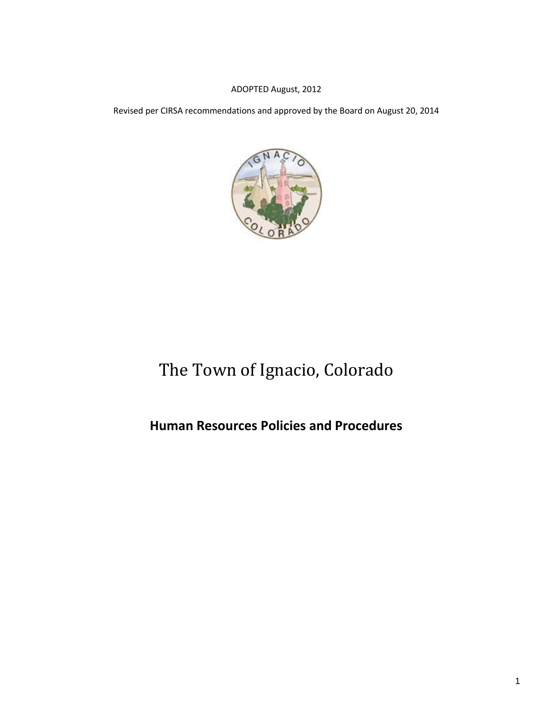#### ADOPTED August, 2012

Revised per CIRSA recommendations and approved by the Board on August 20, 2014



# The Town of Ignacio, Colorado

## **Human Resources Policies and Procedures**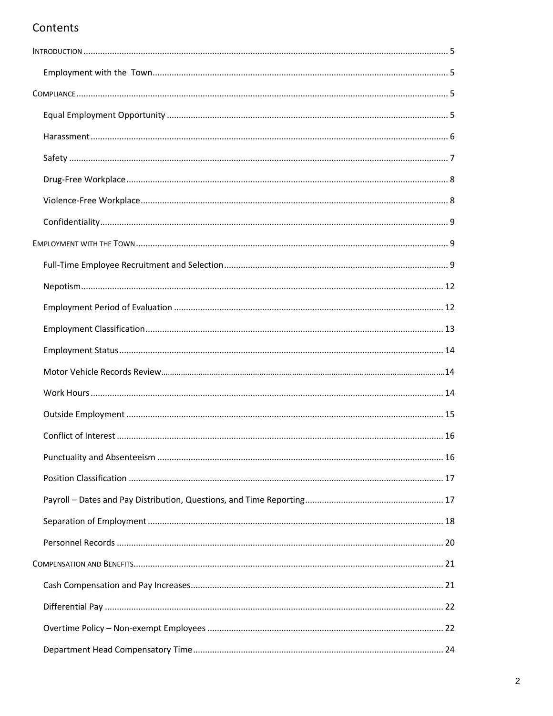## Contents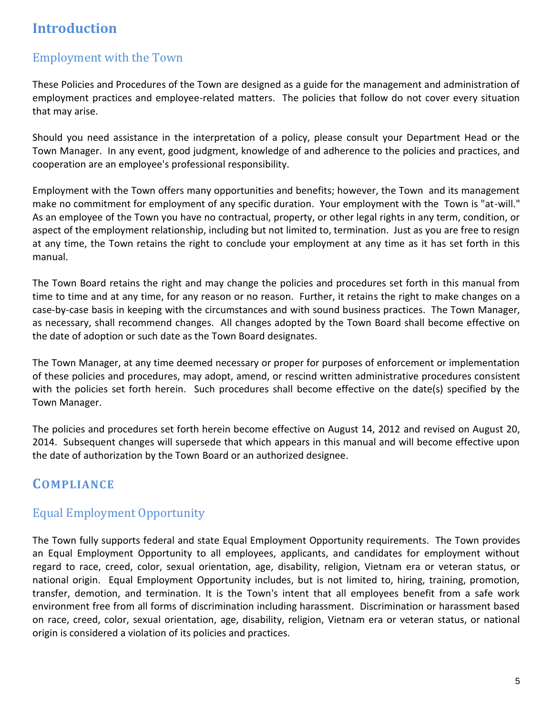## <span id="page-4-0"></span>**Introduction**

## Employment with the Town

These Policies and Procedures of the Town are designed as a guide for the management and administration of employment practices and employee-related matters. The policies that follow do not cover every situation that may arise.

Should you need assistance in the interpretation of a policy, please consult your Department Head or the Town Manager. In any event, good judgment, knowledge of and adherence to the policies and practices, and cooperation are an employee's professional responsibility.

Employment with the Town offers many opportunities and benefits; however, the Town and its management make no commitment for employment of any specific duration. Your employment with the Town is "at-will." As an employee of the Town you have no contractual, property, or other legal rights in any term, condition, or aspect of the employment relationship, including but not limited to, termination. Just as you are free to resign at any time, the Town retains the right to conclude your employment at any time as it has set forth in this manual.

The Town Board retains the right and may change the policies and procedures set forth in this manual from time to time and at any time, for any reason or no reason. Further, it retains the right to make changes on a case-by-case basis in keeping with the circumstances and with sound business practices. The Town Manager, as necessary, shall recommend changes. All changes adopted by the Town Board shall become effective on the date of adoption or such date as the Town Board designates.

The Town Manager, at any time deemed necessary or proper for purposes of enforcement or implementation of these policies and procedures, may adopt, amend, or rescind written administrative procedures consistent with the policies set forth herein. Such procedures shall become effective on the date(s) specified by the Town Manager.

The policies and procedures set forth herein become effective on August 14, 2012 and revised on August 20, 2014. Subsequent changes will supersede that which appears in this manual and will become effective upon the date of authorization by the Town Board or an authorized designee.

## <span id="page-4-1"></span>**COMPLIANCE**

## <span id="page-4-2"></span>Equal Employment Opportunity

The Town fully supports federal and state Equal Employment Opportunity requirements. The Town provides an Equal Employment Opportunity to all employees, applicants, and candidates for employment without regard to race, creed, color, sexual orientation, age, disability, religion, Vietnam era or veteran status, or national origin. Equal Employment Opportunity includes, but is not limited to, hiring, training, promotion, transfer, demotion, and termination. It is the Town's intent that all employees benefit from a safe work environment free from all forms of discrimination including harassment. Discrimination or harassment based on race, creed, color, sexual orientation, age, disability, religion, Vietnam era or veteran status, or national origin is considered a violation of its policies and practices.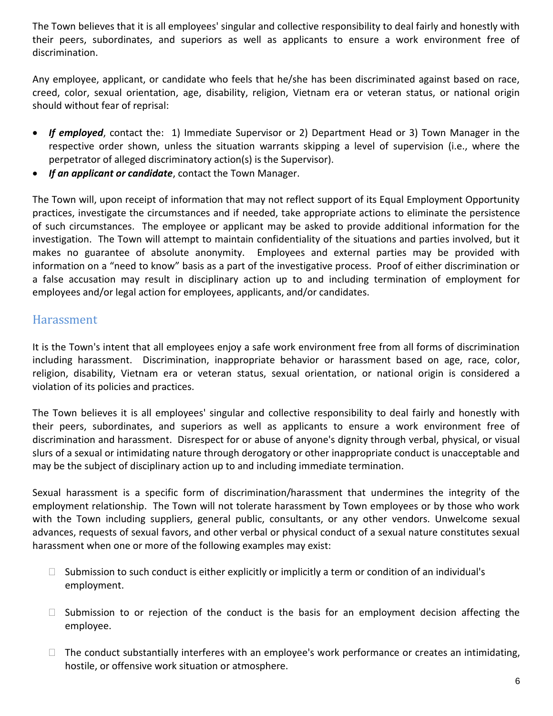The Town believes that it is all employees' singular and collective responsibility to deal fairly and honestly with their peers, subordinates, and superiors as well as applicants to ensure a work environment free of discrimination.

Any employee, applicant, or candidate who feels that he/she has been discriminated against based on race, creed, color, sexual orientation, age, disability, religion, Vietnam era or veteran status, or national origin should without fear of reprisal:

- *If employed*, contact the: 1) Immediate Supervisor or 2) Department Head or 3) Town Manager in the respective order shown, unless the situation warrants skipping a level of supervision (i.e., where the perpetrator of alleged discriminatory action(s) is the Supervisor).
- *If an applicant or candidate*, contact the Town Manager.

The Town will, upon receipt of information that may not reflect support of its Equal Employment Opportunity practices, investigate the circumstances and if needed, take appropriate actions to eliminate the persistence of such circumstances. The employee or applicant may be asked to provide additional information for the investigation. The Town will attempt to maintain confidentiality of the situations and parties involved, but it makes no guarantee of absolute anonymity. Employees and external parties may be provided with information on a "need to know" basis as a part of the investigative process. Proof of either discrimination or a false accusation may result in disciplinary action up to and including termination of employment for employees and/or legal action for employees, applicants, and/or candidates.

## Harassment

It is the Town's intent that all employees enjoy a safe work environment free from all forms of discrimination including harassment. Discrimination, inappropriate behavior or harassment based on age, race, color, religion, disability, Vietnam era or veteran status, sexual orientation, or national origin is considered a violation of its policies and practices.

The Town believes it is all employees' singular and collective responsibility to deal fairly and honestly with their peers, subordinates, and superiors as well as applicants to ensure a work environment free of discrimination and harassment. Disrespect for or abuse of anyone's dignity through verbal, physical, or visual slurs of a sexual or intimidating nature through derogatory or other inappropriate conduct is unacceptable and may be the subject of disciplinary action up to and including immediate termination.

Sexual harassment is a specific form of discrimination/harassment that undermines the integrity of the employment relationship. The Town will not tolerate harassment by Town employees or by those who work with the Town including suppliers, general public, consultants, or any other vendors. Unwelcome sexual advances, requests of sexual favors, and other verbal or physical conduct of a sexual nature constitutes sexual harassment when one or more of the following examples may exist:

- $\Box$  Submission to such conduct is either explicitly or implicitly a term or condition of an individual's employment.
- $\Box$  Submission to or rejection of the conduct is the basis for an employment decision affecting the employee.
- $\Box$  The conduct substantially interferes with an employee's work performance or creates an intimidating, hostile, or offensive work situation or atmosphere.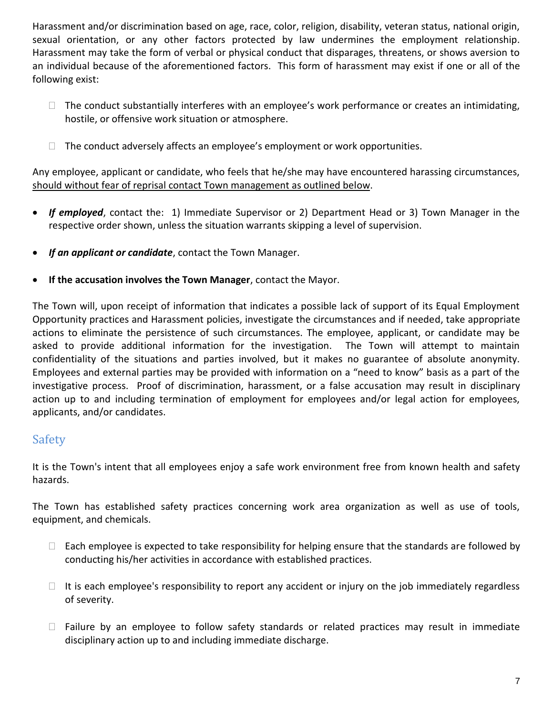Harassment and/or discrimination based on age, race, color, religion, disability, veteran status, national origin, sexual orientation, or any other factors protected by law undermines the employment relationship. Harassment may take the form of verbal or physical conduct that disparages, threatens, or shows aversion to an individual because of the aforementioned factors. This form of harassment may exist if one or all of the following exist:

- $\Box$  The conduct substantially interferes with an employee's work performance or creates an intimidating, hostile, or offensive work situation or atmosphere.
- $\Box$  The conduct adversely affects an employee's employment or work opportunities.

Any employee, applicant or candidate, who feels that he/she may have encountered harassing circumstances, should without fear of reprisal contact Town management as outlined below.

- *If employed*, contact the: 1) Immediate Supervisor or 2) Department Head or 3) Town Manager in the respective order shown, unless the situation warrants skipping a level of supervision.
- *If an applicant or candidate*, contact the Town Manager.
- **If the accusation involves the Town Manager**, contact the Mayor.

The Town will, upon receipt of information that indicates a possible lack of support of its Equal Employment Opportunity practices and Harassment policies, investigate the circumstances and if needed, take appropriate actions to eliminate the persistence of such circumstances. The employee, applicant, or candidate may be asked to provide additional information for the investigation. The Town will attempt to maintain confidentiality of the situations and parties involved, but it makes no guarantee of absolute anonymity. Employees and external parties may be provided with information on a "need to know" basis as a part of the investigative process. Proof of discrimination, harassment, or a false accusation may result in disciplinary action up to and including termination of employment for employees and/or legal action for employees, applicants, and/or candidates.

## <span id="page-6-0"></span>Safety

It is the Town's intent that all employees enjoy a safe work environment free from known health and safety hazards.

The Town has established safety practices concerning work area organization as well as use of tools, equipment, and chemicals.

- $\Box$  Each employee is expected to take responsibility for helping ensure that the standards are followed by conducting his/her activities in accordance with established practices.
- $\Box$  It is each employee's responsibility to report any accident or injury on the job immediately regardless of severity.
- $\Box$  Failure by an employee to follow safety standards or related practices may result in immediate disciplinary action up to and including immediate discharge.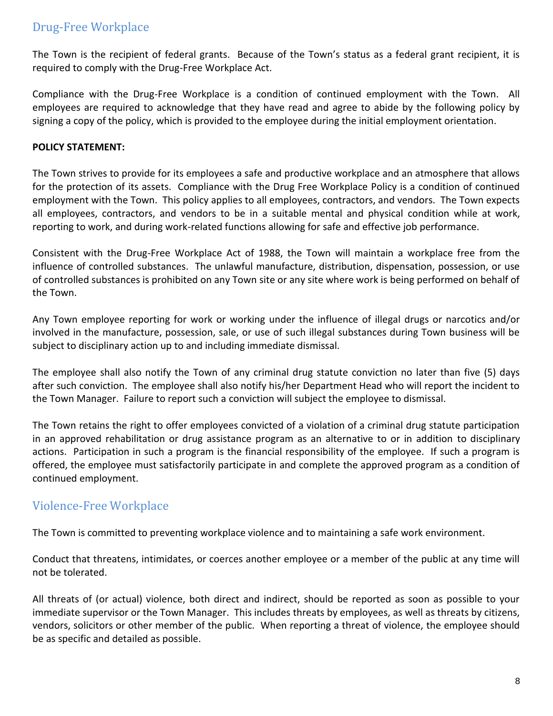## <span id="page-7-0"></span>Drug-Free Workplace

The Town is the recipient of federal grants. Because of the Town's status as a federal grant recipient, it is required to comply with the Drug-Free Workplace Act.

Compliance with the Drug-Free Workplace is a condition of continued employment with the Town. All employees are required to acknowledge that they have read and agree to abide by the following policy by signing a copy of the policy, which is provided to the employee during the initial employment orientation.

#### **POLICY STATEMENT:**

The Town strives to provide for its employees a safe and productive workplace and an atmosphere that allows for the protection of its assets. Compliance with the Drug Free Workplace Policy is a condition of continued employment with the Town. This policy applies to all employees, contractors, and vendors. The Town expects all employees, contractors, and vendors to be in a suitable mental and physical condition while at work, reporting to work, and during work-related functions allowing for safe and effective job performance.

Consistent with the Drug-Free Workplace Act of 1988, the Town will maintain a workplace free from the influence of controlled substances. The unlawful manufacture, distribution, dispensation, possession, or use of controlled substances is prohibited on any Town site or any site where work is being performed on behalf of the Town.

Any Town employee reporting for work or working under the influence of illegal drugs or narcotics and/or involved in the manufacture, possession, sale, or use of such illegal substances during Town business will be subject to disciplinary action up to and including immediate dismissal.

The employee shall also notify the Town of any criminal drug statute conviction no later than five (5) days after such conviction. The employee shall also notify his/her Department Head who will report the incident to the Town Manager. Failure to report such a conviction will subject the employee to dismissal.

The Town retains the right to offer employees convicted of a violation of a criminal drug statute participation in an approved rehabilitation or drug assistance program as an alternative to or in addition to disciplinary actions. Participation in such a program is the financial responsibility of the employee. If such a program is offered, the employee must satisfactorily participate in and complete the approved program as a condition of continued employment.

## <span id="page-7-1"></span>Violence-Free Workplace

The Town is committed to preventing workplace violence and to maintaining a safe work environment.

Conduct that threatens, intimidates, or coerces another employee or a member of the public at any time will not be tolerated.

All threats of (or actual) violence, both direct and indirect, should be reported as soon as possible to your immediate supervisor or the Town Manager. This includes threats by employees, as well as threats by citizens, vendors, solicitors or other member of the public. When reporting a threat of violence, the employee should be as specific and detailed as possible.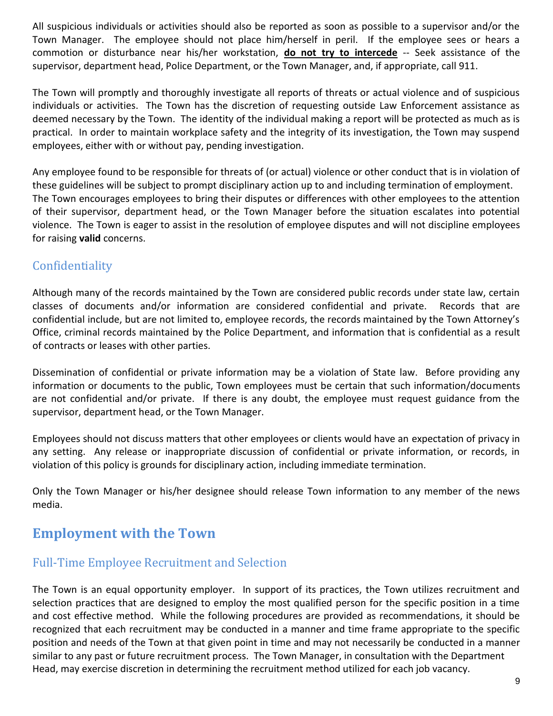All suspicious individuals or activities should also be reported as soon as possible to a supervisor and/or the Town Manager. The employee should not place him/herself in peril. If the employee sees or hears a commotion or disturbance near his/her workstation, **do not try to intercede** -- Seek assistance of the supervisor, department head, Police Department, or the Town Manager, and, if appropriate, call 911.

The Town will promptly and thoroughly investigate all reports of threats or actual violence and of suspicious individuals or activities. The Town has the discretion of requesting outside Law Enforcement assistance as deemed necessary by the Town. The identity of the individual making a report will be protected as much as is practical. In order to maintain workplace safety and the integrity of its investigation, the Town may suspend employees, either with or without pay, pending investigation.

Any employee found to be responsible for threats of (or actual) violence or other conduct that is in violation of these guidelines will be subject to prompt disciplinary action up to and including termination of employment. The Town encourages employees to bring their disputes or differences with other employees to the attention of their supervisor, department head, or the Town Manager before the situation escalates into potential violence. The Town is eager to assist in the resolution of employee disputes and will not discipline employees for raising **valid** concerns.

## <span id="page-8-0"></span>**Confidentiality**

Although many of the records maintained by the Town are considered public records under state law, certain classes of documents and/or information are considered confidential and private. Records that are confidential include, but are not limited to, employee records, the records maintained by the Town Attorney's Office, criminal records maintained by the Police Department, and information that is confidential as a result of contracts or leases with other parties.

Dissemination of confidential or private information may be a violation of State law. Before providing any information or documents to the public, Town employees must be certain that such information/documents are not confidential and/or private. If there is any doubt, the employee must request guidance from the supervisor, department head, or the Town Manager.

Employees should not discuss matters that other employees or clients would have an expectation of privacy in any setting. Any release or inappropriate discussion of confidential or private information, or records, in violation of this policy is grounds for disciplinary action, including immediate termination.

Only the Town Manager or his/her designee should release Town information to any member of the news media.

## <span id="page-8-1"></span>**Employment with the Town**

## <span id="page-8-2"></span>Full-Time Employee Recruitment and Selection

The Town is an equal opportunity employer. In support of its practices, the Town utilizes recruitment and selection practices that are designed to employ the most qualified person for the specific position in a time and cost effective method. While the following procedures are provided as recommendations, it should be recognized that each recruitment may be conducted in a manner and time frame appropriate to the specific position and needs of the Town at that given point in time and may not necessarily be conducted in a manner similar to any past or future recruitment process. The Town Manager, in consultation with the Department Head, may exercise discretion in determining the recruitment method utilized for each job vacancy.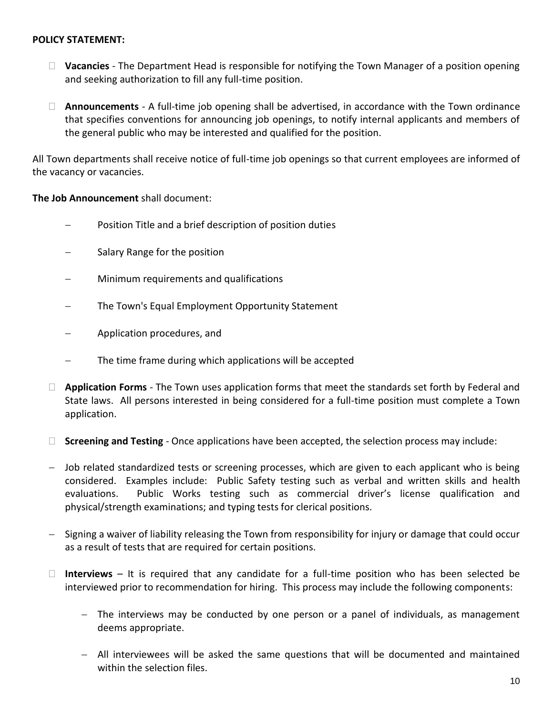#### **POLICY STATEMENT:**

- **Vacancies** The Department Head is responsible for notifying the Town Manager of a position opening and seeking authorization to fill any full-time position.
- **Announcements** A full-time job opening shall be advertised, in accordance with the Town ordinance that specifies conventions for announcing job openings, to notify internal applicants and members of the general public who may be interested and qualified for the position.

All Town departments shall receive notice of full-time job openings so that current employees are informed of the vacancy or vacancies.

#### **The Job Announcement** shall document:

- Position Title and a brief description of position duties
- Salary Range for the position
- Minimum requirements and qualifications
- The Town's Equal Employment Opportunity Statement
- Application procedures, and
- The time frame during which applications will be accepted
- **Application Forms** The Town uses application forms that meet the standards set forth by Federal and State laws. All persons interested in being considered for a full-time position must complete a Town application.
- **Screening and Testing** Once applications have been accepted, the selection process may include:
- Job related standardized tests or screening processes, which are given to each applicant who is being considered. Examples include: Public Safety testing such as verbal and written skills and health evaluations. Public Works testing such as commercial driver's license qualification and physical/strength examinations; and typing tests for clerical positions.
- Signing a waiver of liability releasing the Town from responsibility for injury or damage that could occur as a result of tests that are required for certain positions.
- **Interviews** It is required that any candidate for a full-time position who has been selected be interviewed prior to recommendation for hiring. This process may include the following components:
	- The interviews may be conducted by one person or a panel of individuals, as management deems appropriate.
	- All interviewees will be asked the same questions that will be documented and maintained within the selection files.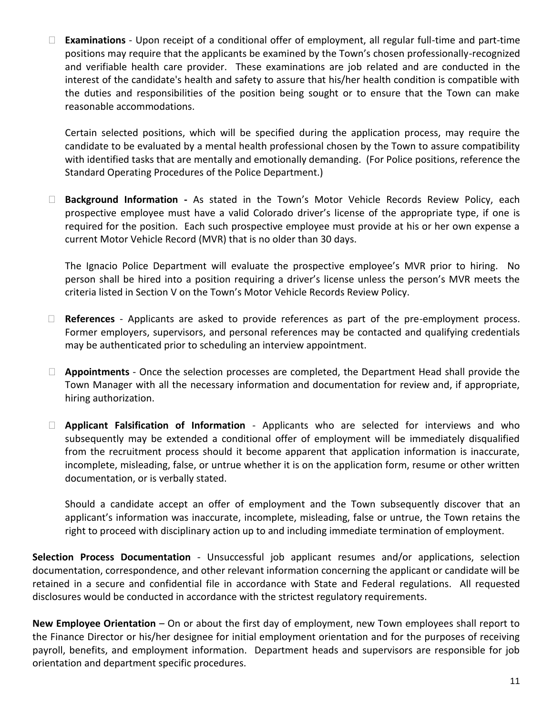**Examinations** - Upon receipt of a conditional offer of employment, all regular full-time and part-time positions may require that the applicants be examined by the Town's chosen professionally-recognized and verifiable health care provider. These examinations are job related and are conducted in the interest of the candidate's health and safety to assure that his/her health condition is compatible with the duties and responsibilities of the position being sought or to ensure that the Town can make reasonable accommodations.

Certain selected positions, which will be specified during the application process, may require the candidate to be evaluated by a mental health professional chosen by the Town to assure compatibility with identified tasks that are mentally and emotionally demanding. (For Police positions, reference the Standard Operating Procedures of the Police Department.)

 **Background Information -** As stated in the Town's Motor Vehicle Records Review Policy, each prospective employee must have a valid Colorado driver's license of the appropriate type, if one is required for the position. Each such prospective employee must provide at his or her own expense a current Motor Vehicle Record (MVR) that is no older than 30 days.

The Ignacio Police Department will evaluate the prospective employee's MVR prior to hiring. No person shall be hired into a position requiring a driver's license unless the person's MVR meets the criteria listed in Section V on the Town's Motor Vehicle Records Review Policy.

- **References**  Applicants are asked to provide references as part of the pre-employment process. Former employers, supervisors, and personal references may be contacted and qualifying credentials may be authenticated prior to scheduling an interview appointment.
- **Appointments** Once the selection processes are completed, the Department Head shall provide the Town Manager with all the necessary information and documentation for review and, if appropriate, hiring authorization.
- **Applicant Falsification of Information** Applicants who are selected for interviews and who subsequently may be extended a conditional offer of employment will be immediately disqualified from the recruitment process should it become apparent that application information is inaccurate, incomplete, misleading, false, or untrue whether it is on the application form, resume or other written documentation, or is verbally stated.

Should a candidate accept an offer of employment and the Town subsequently discover that an applicant's information was inaccurate, incomplete, misleading, false or untrue, the Town retains the right to proceed with disciplinary action up to and including immediate termination of employment.

**Selection Process Documentation** - Unsuccessful job applicant resumes and/or applications, selection documentation, correspondence, and other relevant information concerning the applicant or candidate will be retained in a secure and confidential file in accordance with State and Federal regulations. All requested disclosures would be conducted in accordance with the strictest regulatory requirements.

**New Employee Orientation** – On or about the first day of employment, new Town employees shall report to the Finance Director or his/her designee for initial employment orientation and for the purposes of receiving payroll, benefits, and employment information. Department heads and supervisors are responsible for job orientation and department specific procedures.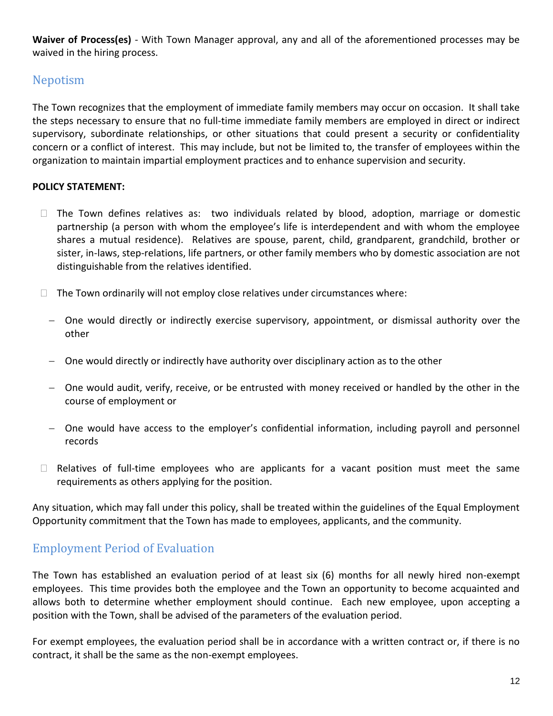**Waiver of Process(es)** - With Town Manager approval, any and all of the aforementioned processes may be waived in the hiring process.

## Nepotism

The Town recognizes that the employment of immediate family members may occur on occasion. It shall take the steps necessary to ensure that no full-time immediate family members are employed in direct or indirect supervisory, subordinate relationships, or other situations that could present a security or confidentiality concern or a conflict of interest. This may include, but not be limited to, the transfer of employees within the organization to maintain impartial employment practices and to enhance supervision and security.

#### **POLICY STATEMENT:**

- $\Box$  The Town defines relatives as: two individuals related by blood, adoption, marriage or domestic partnership (a person with whom the employee's life is interdependent and with whom the employee shares a mutual residence). Relatives are spouse, parent, child, grandparent, grandchild, brother or sister, in-laws, step-relations, life partners, or other family members who by domestic association are not distinguishable from the relatives identified.
- $\Box$  The Town ordinarily will not employ close relatives under circumstances where:
	- One would directly or indirectly exercise supervisory, appointment, or dismissal authority over the other
	- One would directly or indirectly have authority over disciplinary action as to the other
	- One would audit, verify, receive, or be entrusted with money received or handled by the other in the course of employment or
	- One would have access to the employer's confidential information, including payroll and personnel records
- $\Box$  Relatives of full-time employees who are applicants for a vacant position must meet the same requirements as others applying for the position.

Any situation, which may fall under this policy, shall be treated within the guidelines of the Equal Employment Opportunity commitment that the Town has made to employees, applicants, and the community.

## <span id="page-11-0"></span>Employment Period of Evaluation

The Town has established an evaluation period of at least six (6) months for all newly hired non-exempt employees. This time provides both the employee and the Town an opportunity to become acquainted and allows both to determine whether employment should continue. Each new employee, upon accepting a position with the Town, shall be advised of the parameters of the evaluation period.

For exempt employees, the evaluation period shall be in accordance with a written contract or, if there is no contract, it shall be the same as the non-exempt employees.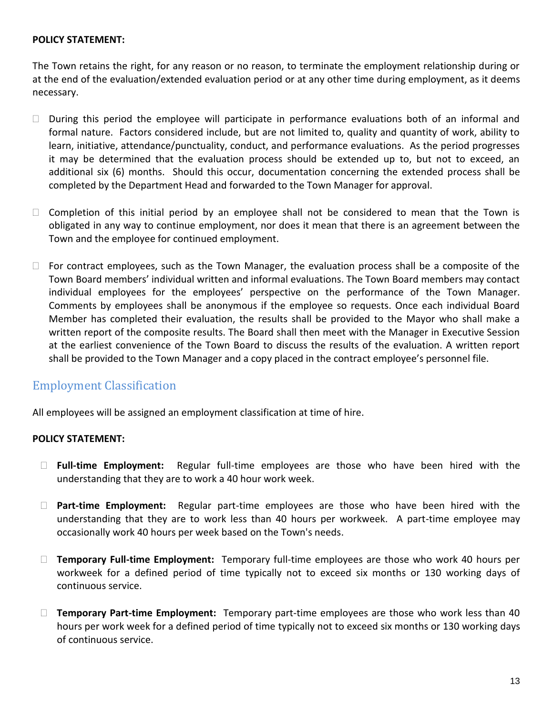#### **POLICY STATEMENT:**

The Town retains the right, for any reason or no reason, to terminate the employment relationship during or at the end of the evaluation/extended evaluation period or at any other time during employment, as it deems necessary.

- $\Box$  During this period the employee will participate in performance evaluations both of an informal and formal nature. Factors considered include, but are not limited to, quality and quantity of work, ability to learn, initiative, attendance/punctuality, conduct, and performance evaluations. As the period progresses it may be determined that the evaluation process should be extended up to, but not to exceed, an additional six (6) months. Should this occur, documentation concerning the extended process shall be completed by the Department Head and forwarded to the Town Manager for approval.
- $\Box$  Completion of this initial period by an employee shall not be considered to mean that the Town is obligated in any way to continue employment, nor does it mean that there is an agreement between the Town and the employee for continued employment.
- $\Box$  For contract employees, such as the Town Manager, the evaluation process shall be a composite of the Town Board members' individual written and informal evaluations. The Town Board members may contact individual employees for the employees' perspective on the performance of the Town Manager. Comments by employees shall be anonymous if the employee so requests. Once each individual Board Member has completed their evaluation, the results shall be provided to the Mayor who shall make a written report of the composite results. The Board shall then meet with the Manager in Executive Session at the earliest convenience of the Town Board to discuss the results of the evaluation. A written report shall be provided to the Town Manager and a copy placed in the contract employee's personnel file.

## <span id="page-12-0"></span>Employment Classification

All employees will be assigned an employment classification at time of hire.

#### **POLICY STATEMENT:**

- **Full-time Employment:** Regular full-time employees are those who have been hired with the understanding that they are to work a 40 hour work week.
- **Part-time Employment:** Regular part-time employees are those who have been hired with the understanding that they are to work less than 40 hours per workweek. A part-time employee may occasionally work 40 hours per week based on the Town's needs.
- **Temporary Full-time Employment:** Temporary full-time employees are those who work 40 hours per workweek for a defined period of time typically not to exceed six months or 130 working days of continuous service.
- **Temporary Part-time Employment:** Temporary part-time employees are those who work less than 40 hours per work week for a defined period of time typically not to exceed six months or 130 working days of continuous service.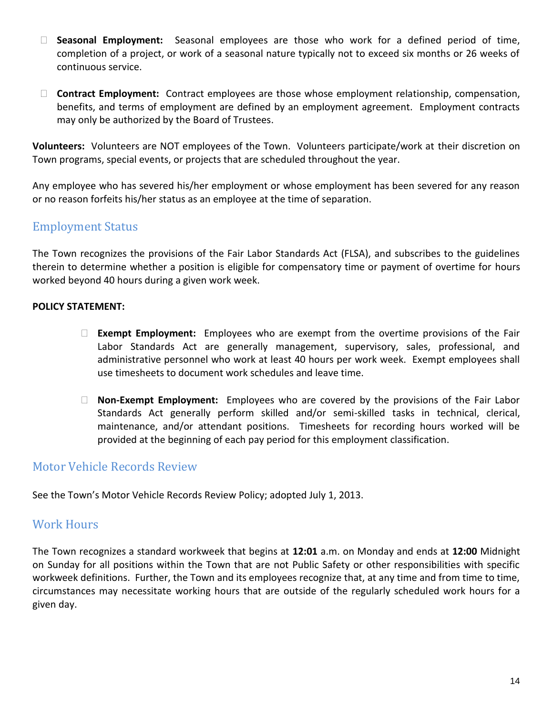- **Seasonal Employment:** Seasonal employees are those who work for a defined period of time, completion of a project, or work of a seasonal nature typically not to exceed six months or 26 weeks of continuous service.
- **Contract Employment:** Contract employees are those whose employment relationship, compensation, benefits, and terms of employment are defined by an employment agreement. Employment contracts may only be authorized by the Board of Trustees.

**Volunteers:** Volunteers are NOT employees of the Town. Volunteers participate/work at their discretion on Town programs, special events, or projects that are scheduled throughout the year.

Any employee who has severed his/her employment or whose employment has been severed for any reason or no reason forfeits his/her status as an employee at the time of separation.

## <span id="page-13-0"></span>Employment Status

The Town recognizes the provisions of the Fair Labor Standards Act (FLSA), and subscribes to the guidelines therein to determine whether a position is eligible for compensatory time or payment of overtime for hours worked beyond 40 hours during a given work week.

#### **POLICY STATEMENT:**

- **Exempt Employment:** Employees who are exempt from the overtime provisions of the Fair Labor Standards Act are generally management, supervisory, sales, professional, and administrative personnel who work at least 40 hours per work week. Exempt employees shall use timesheets to document work schedules and leave time.
- **Non-Exempt Employment:** Employees who are covered by the provisions of the Fair Labor Standards Act generally perform skilled and/or semi-skilled tasks in technical, clerical, maintenance, and/or attendant positions. Timesheets for recording hours worked will be provided at the beginning of each pay period for this employment classification.

## <span id="page-13-1"></span>Motor Vehicle Records Review

See the Town's Motor Vehicle Records Review Policy; adopted July 1, 2013.

## Work Hours

The Town recognizes a standard workweek that begins at **12:01** a.m. on Monday and ends at **12:00** Midnight on Sunday for all positions within the Town that are not Public Safety or other responsibilities with specific workweek definitions. Further, the Town and its employees recognize that, at any time and from time to time, circumstances may necessitate working hours that are outside of the regularly scheduled work hours for a given day.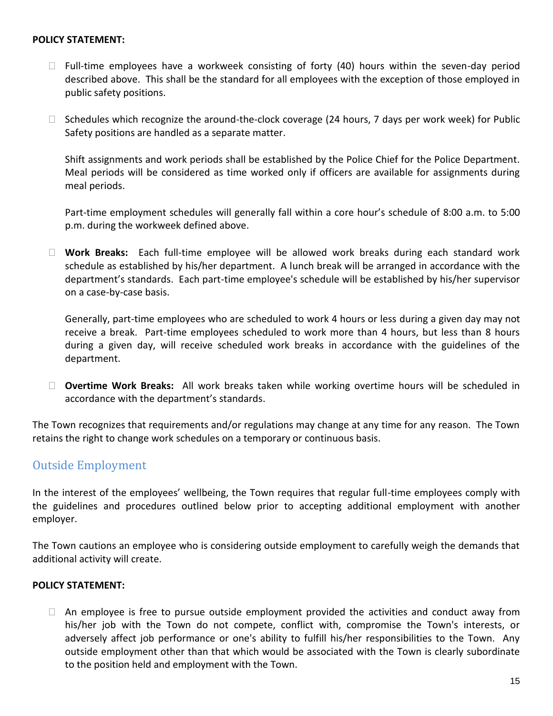#### **POLICY STATEMENT:**

- $\Box$  Full-time employees have a workweek consisting of forty (40) hours within the seven-day period described above. This shall be the standard for all employees with the exception of those employed in public safety positions.
- $\Box$  Schedules which recognize the around-the-clock coverage (24 hours, 7 days per work week) for Public Safety positions are handled as a separate matter.

Shift assignments and work periods shall be established by the Police Chief for the Police Department. Meal periods will be considered as time worked only if officers are available for assignments during meal periods.

Part-time employment schedules will generally fall within a core hour's schedule of 8:00 a.m. to 5:00 p.m. during the workweek defined above.

 **Work Breaks:** Each full-time employee will be allowed work breaks during each standard work schedule as established by his/her department. A lunch break will be arranged in accordance with the department's standards. Each part-time employee's schedule will be established by his/her supervisor on a case-by-case basis.

Generally, part-time employees who are scheduled to work 4 hours or less during a given day may not receive a break. Part-time employees scheduled to work more than 4 hours, but less than 8 hours during a given day, will receive scheduled work breaks in accordance with the guidelines of the department.

 **Overtime Work Breaks:** All work breaks taken while working overtime hours will be scheduled in accordance with the department's standards.

The Town recognizes that requirements and/or regulations may change at any time for any reason. The Town retains the right to change work schedules on a temporary or continuous basis.

#### <span id="page-14-0"></span>Outside Employment

In the interest of the employees' wellbeing, the Town requires that regular full-time employees comply with the guidelines and procedures outlined below prior to accepting additional employment with another employer.

The Town cautions an employee who is considering outside employment to carefully weigh the demands that additional activity will create.

#### **POLICY STATEMENT:**

 $\Box$  An employee is free to pursue outside employment provided the activities and conduct away from his/her job with the Town do not compete, conflict with, compromise the Town's interests, or adversely affect job performance or one's ability to fulfill his/her responsibilities to the Town. Any outside employment other than that which would be associated with the Town is clearly subordinate to the position held and employment with the Town.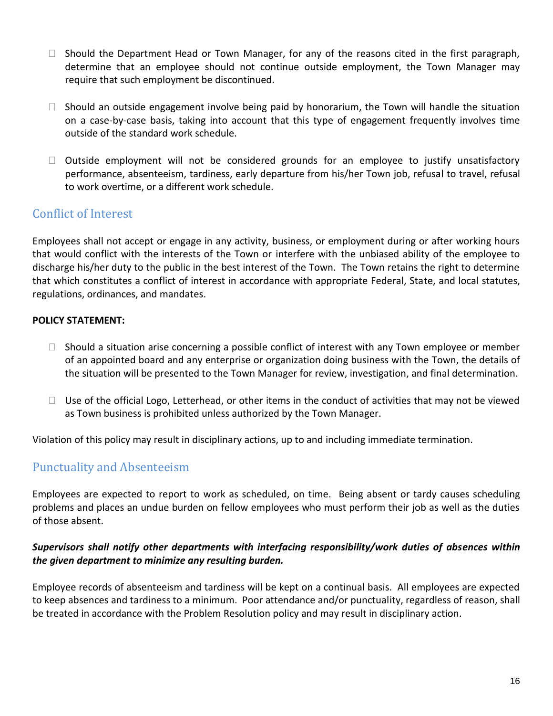- $\Box$  Should the Department Head or Town Manager, for any of the reasons cited in the first paragraph, determine that an employee should not continue outside employment, the Town Manager may require that such employment be discontinued.
- $\Box$  Should an outside engagement involve being paid by honorarium, the Town will handle the situation on a case-by-case basis, taking into account that this type of engagement frequently involves time outside of the standard work schedule.
- $\Box$  Outside employment will not be considered grounds for an employee to justify unsatisfactory performance, absenteeism, tardiness, early departure from his/her Town job, refusal to travel, refusal to work overtime, or a different work schedule.

## <span id="page-15-0"></span>Conflict of Interest

Employees shall not accept or engage in any activity, business, or employment during or after working hours that would conflict with the interests of the Town or interfere with the unbiased ability of the employee to discharge his/her duty to the public in the best interest of the Town. The Town retains the right to determine that which constitutes a conflict of interest in accordance with appropriate Federal, State, and local statutes, regulations, ordinances, and mandates.

#### **POLICY STATEMENT:**

- $\Box$  Should a situation arise concerning a possible conflict of interest with any Town employee or member of an appointed board and any enterprise or organization doing business with the Town, the details of the situation will be presented to the Town Manager for review, investigation, and final determination.
- $\Box$  Use of the official Logo, Letterhead, or other items in the conduct of activities that may not be viewed as Town business is prohibited unless authorized by the Town Manager.

<span id="page-15-1"></span>Violation of this policy may result in disciplinary actions, up to and including immediate termination.

## Punctuality and Absenteeism

Employees are expected to report to work as scheduled, on time. Being absent or tardy causes scheduling problems and places an undue burden on fellow employees who must perform their job as well as the duties of those absent.

#### *Supervisors shall notify other departments with interfacing responsibility/work duties of absences within the given department to minimize any resulting burden.*

Employee records of absenteeism and tardiness will be kept on a continual basis. All employees are expected to keep absences and tardiness to a minimum. Poor attendance and/or punctuality, regardless of reason, shall be treated in accordance with the Problem Resolution policy and may result in disciplinary action.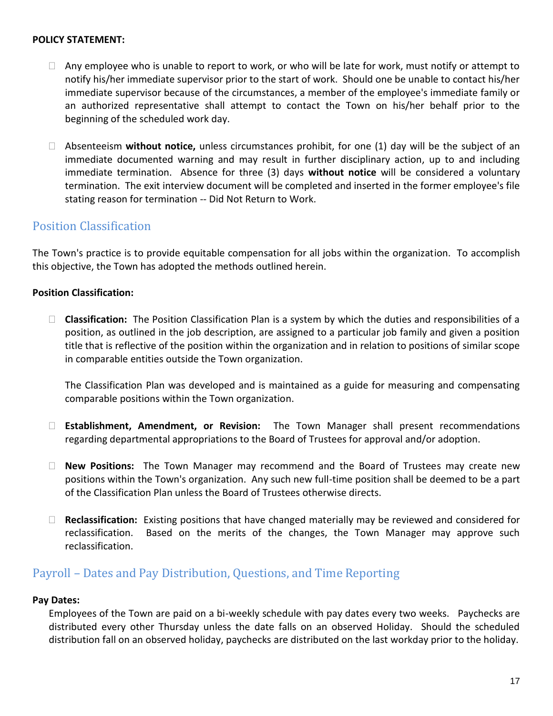#### **POLICY STATEMENT:**

- $\Box$  Any employee who is unable to report to work, or who will be late for work, must notify or attempt to notify his/her immediate supervisor prior to the start of work. Should one be unable to contact his/her immediate supervisor because of the circumstances, a member of the employee's immediate family or an authorized representative shall attempt to contact the Town on his/her behalf prior to the beginning of the scheduled work day.
- Absenteeism **without notice,** unless circumstances prohibit, for one (1) day will be the subject of an immediate documented warning and may result in further disciplinary action, up to and including immediate termination. Absence for three (3) days **without notice** will be considered a voluntary termination. The exit interview document will be completed and inserted in the former employee's file stating reason for termination -- Did Not Return to Work.

#### <span id="page-16-0"></span>Position Classification

The Town's practice is to provide equitable compensation for all jobs within the organization. To accomplish this objective, the Town has adopted the methods outlined herein.

#### **Position Classification:**

 **Classification:** The Position Classification Plan is a system by which the duties and responsibilities of a position, as outlined in the job description, are assigned to a particular job family and given a position title that is reflective of the position within the organization and in relation to positions of similar scope in comparable entities outside the Town organization.

The Classification Plan was developed and is maintained as a guide for measuring and compensating comparable positions within the Town organization.

- **Establishment, Amendment, or Revision:** The Town Manager shall present recommendations regarding departmental appropriations to the Board of Trustees for approval and/or adoption.
- **New Positions:** The Town Manager may recommend and the Board of Trustees may create new positions within the Town's organization. Any such new full-time position shall be deemed to be a part of the Classification Plan unless the Board of Trustees otherwise directs.
- **Reclassification:** Existing positions that have changed materially may be reviewed and considered for reclassification. Based on the merits of the changes, the Town Manager may approve such reclassification.

#### <span id="page-16-1"></span>Payroll – Dates and Pay Distribution, Questions, and Time Reporting

#### **Pay Dates:**

Employees of the Town are paid on a bi-weekly schedule with pay dates every two weeks. Paychecks are distributed every other Thursday unless the date falls on an observed Holiday. Should the scheduled distribution fall on an observed holiday, paychecks are distributed on the last workday prior to the holiday.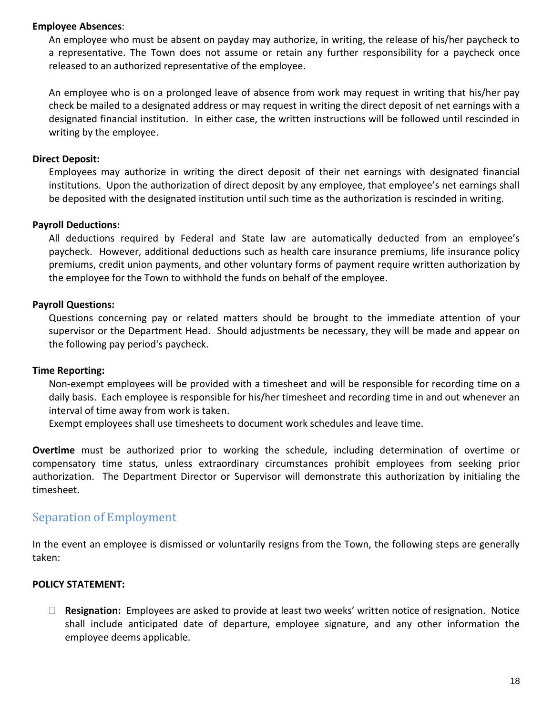#### **Employee Absences**:

An employee who must be absent on payday may authorize, in writing, the release of his/her paycheck to a representative. The Town does not assume or retain any further responsibility for a paycheck once released to an authorized representative of the employee.

An employee who is on a prolonged leave of absence from work may request in writing that his/her pay check be mailed to a designated address or may request in writing the direct deposit of net earnings with a designated financial institution. In either case, the written instructions will be followed until rescinded in writing by the employee.

#### **Direct Deposit:**

Employees may authorize in writing the direct deposit of their net earnings with designated financial institutions. Upon the authorization of direct deposit by any employee, that employee's net earnings shall be deposited with the designated institution until such time as the authorization is rescinded in writing.

#### **Payroll Deductions:**

All deductions required by Federal and State law are automatically deducted from an employee's paycheck. However, additional deductions such as health care insurance premiums, life insurance policy premiums, credit union payments, and other voluntary forms of payment require written authorization by the employee for the Town to withhold the funds on behalf of the employee.

#### **Payroll Questions:**

Questions concerning pay or related matters should be brought to the immediate attention of your supervisor or the Department Head. Should adjustments be necessary, they will be made and appear on the following pay period's paycheck.

#### **Time Reporting:**

Non-exempt employees will be provided with a timesheet and will be responsible for recording time on a daily basis. Each employee is responsible for his/her timesheet and recording time in and out whenever an interval of time away from work is taken.

Exempt employees shall use timesheets to document work schedules and leave time.

**Overtime** must be authorized prior to working the schedule, including determination of overtime or compensatory time status, unless extraordinary circumstances prohibit employees from seeking prior authorization. The Department Director or Supervisor will demonstrate this authorization by initialing the timesheet.

#### <span id="page-17-0"></span>Separation of Employment

In the event an employee is dismissed or voluntarily resigns from the Town, the following steps are generally taken:

#### **POLICY STATEMENT:**

 **Resignation:** Employees are asked to provide at least two weeks' written notice of resignation. Notice shall include anticipated date of departure, employee signature, and any other information the employee deems applicable.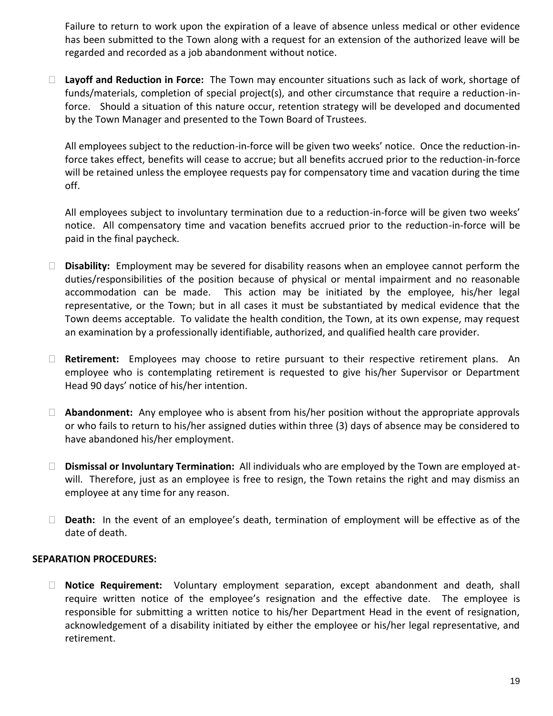Failure to return to work upon the expiration of a leave of absence unless medical or other evidence has been submitted to the Town along with a request for an extension of the authorized leave will be regarded and recorded as a job abandonment without notice.

 **Layoff and Reduction in Force:** The Town may encounter situations such as lack of work, shortage of funds/materials, completion of special project(s), and other circumstance that require a reduction-inforce. Should a situation of this nature occur, retention strategy will be developed and documented by the Town Manager and presented to the Town Board of Trustees.

All employees subject to the reduction-in-force will be given two weeks' notice. Once the reduction-inforce takes effect, benefits will cease to accrue; but all benefits accrued prior to the reduction-in-force will be retained unless the employee requests pay for compensatory time and vacation during the time off.

All employees subject to involuntary termination due to a reduction-in-force will be given two weeks' notice. All compensatory time and vacation benefits accrued prior to the reduction-in-force will be paid in the final paycheck.

- **Disability:** Employment may be severed for disability reasons when an employee cannot perform the duties/responsibilities of the position because of physical or mental impairment and no reasonable accommodation can be made. This action may be initiated by the employee, his/her legal representative, or the Town; but in all cases it must be substantiated by medical evidence that the Town deems acceptable. To validate the health condition, the Town, at its own expense, may request an examination by a professionally identifiable, authorized, and qualified health care provider.
- **Retirement:** Employees may choose to retire pursuant to their respective retirement plans. An employee who is contemplating retirement is requested to give his/her Supervisor or Department Head 90 days' notice of his/her intention.
- **Abandonment:** Any employee who is absent from his/her position without the appropriate approvals or who fails to return to his/her assigned duties within three (3) days of absence may be considered to have abandoned his/her employment.
- **Dismissal or Involuntary Termination:** All individuals who are employed by the Town are employed atwill. Therefore, just as an employee is free to resign, the Town retains the right and may dismiss an employee at any time for any reason.
- **Death:** In the event of an employee's death, termination of employment will be effective as of the date of death.

#### **SEPARATION PROCEDURES:**

 **Notice Requirement:** Voluntary employment separation, except abandonment and death, shall require written notice of the employee's resignation and the effective date. The employee is responsible for submitting a written notice to his/her Department Head in the event of resignation, acknowledgement of a disability initiated by either the employee or his/her legal representative, and retirement.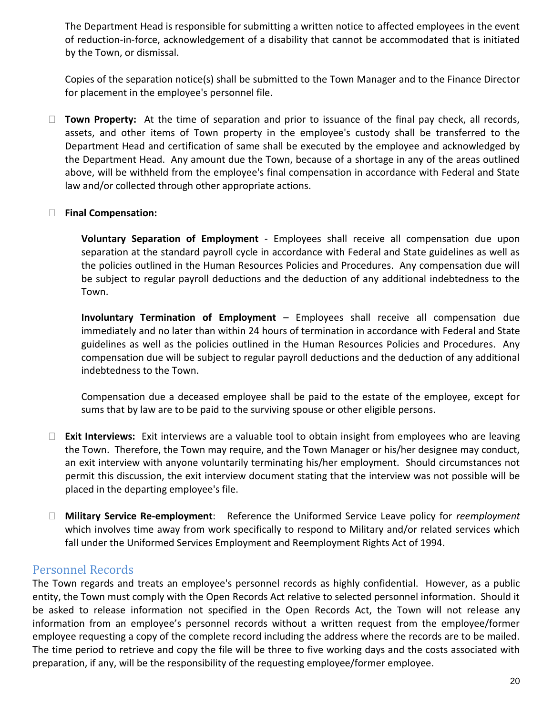The Department Head is responsible for submitting a written notice to affected employees in the event of reduction-in-force, acknowledgement of a disability that cannot be accommodated that is initiated by the Town, or dismissal.

Copies of the separation notice(s) shall be submitted to the Town Manager and to the Finance Director for placement in the employee's personnel file.

 **Town Property:** At the time of separation and prior to issuance of the final pay check, all records, assets, and other items of Town property in the employee's custody shall be transferred to the Department Head and certification of same shall be executed by the employee and acknowledged by the Department Head. Any amount due the Town, because of a shortage in any of the areas outlined above, will be withheld from the employee's final compensation in accordance with Federal and State law and/or collected through other appropriate actions.

#### **Final Compensation:**

**Voluntary Separation of Employment** - Employees shall receive all compensation due upon separation at the standard payroll cycle in accordance with Federal and State guidelines as well as the policies outlined in the Human Resources Policies and Procedures. Any compensation due will be subject to regular payroll deductions and the deduction of any additional indebtedness to the Town.

**Involuntary Termination of Employment** – Employees shall receive all compensation due immediately and no later than within 24 hours of termination in accordance with Federal and State guidelines as well as the policies outlined in the Human Resources Policies and Procedures. Any compensation due will be subject to regular payroll deductions and the deduction of any additional indebtedness to the Town.

Compensation due a deceased employee shall be paid to the estate of the employee, except for sums that by law are to be paid to the surviving spouse or other eligible persons.

- **Exit Interviews:** Exit interviews are a valuable tool to obtain insight from employees who are leaving the Town. Therefore, the Town may require, and the Town Manager or his/her designee may conduct, an exit interview with anyone voluntarily terminating his/her employment. Should circumstances not permit this discussion, the exit interview document stating that the interview was not possible will be placed in the departing employee's file.
- **Military Service Re-employment**: Reference the Uniformed Service Leave policy for *reemployment*  which involves time away from work specifically to respond to Military and/or related services which fall under the Uniformed Services Employment and Reemployment Rights Act of 1994.

#### <span id="page-19-0"></span>Personnel Records

The Town regards and treats an employee's personnel records as highly confidential. However, as a public entity, the Town must comply with the Open Records Act relative to selected personnel information. Should it be asked to release information not specified in the Open Records Act, the Town will not release any information from an employee's personnel records without a written request from the employee/former employee requesting a copy of the complete record including the address where the records are to be mailed. The time period to retrieve and copy the file will be three to five working days and the costs associated with preparation, if any, will be the responsibility of the requesting employee/former employee.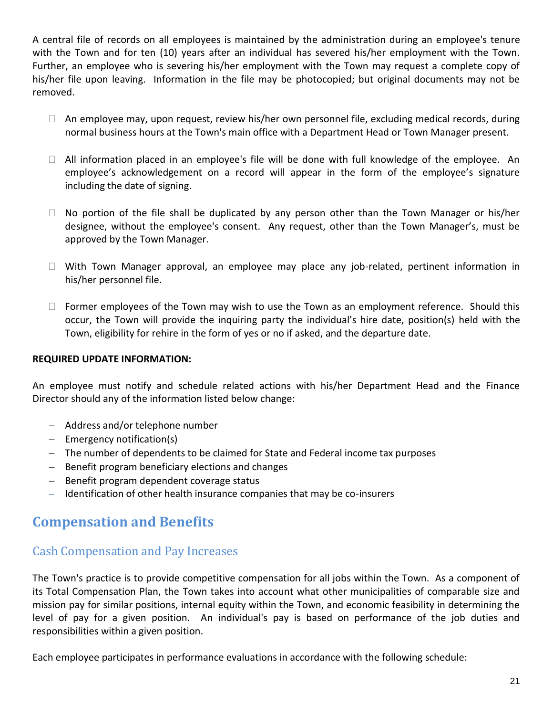A central file of records on all employees is maintained by the administration during an employee's tenure with the Town and for ten (10) years after an individual has severed his/her employment with the Town. Further, an employee who is severing his/her employment with the Town may request a complete copy of his/her file upon leaving. Information in the file may be photocopied; but original documents may not be removed.

- $\Box$  An employee may, upon request, review his/her own personnel file, excluding medical records, during normal business hours at the Town's main office with a Department Head or Town Manager present.
- $\Box$  All information placed in an employee's file will be done with full knowledge of the employee. An employee's acknowledgement on a record will appear in the form of the employee's signature including the date of signing.
- $\Box$  No portion of the file shall be duplicated by any person other than the Town Manager or his/her designee, without the employee's consent. Any request, other than the Town Manager's, must be approved by the Town Manager.
- $\Box$  With Town Manager approval, an employee may place any job-related, pertinent information in his/her personnel file.
- $\Box$  Former employees of the Town may wish to use the Town as an employment reference. Should this occur, the Town will provide the inquiring party the individual's hire date, position(s) held with the Town, eligibility for rehire in the form of yes or no if asked, and the departure date.

#### **REQUIRED UPDATE INFORMATION:**

An employee must notify and schedule related actions with his/her Department Head and the Finance Director should any of the information listed below change:

- Address and/or telephone number
- $-$  Emergency notification(s)
- The number of dependents to be claimed for State and Federal income tax purposes
- Benefit program beneficiary elections and changes
- Benefit program dependent coverage status
- Identification of other health insurance companies that may be co-insurers

## <span id="page-20-0"></span>**Compensation and Benefits**

## <span id="page-20-1"></span>Cash Compensation and Pay Increases

The Town's practice is to provide competitive compensation for all jobs within the Town. As a component of its Total Compensation Plan, the Town takes into account what other municipalities of comparable size and mission pay for similar positions, internal equity within the Town, and economic feasibility in determining the level of pay for a given position. An individual's pay is based on performance of the job duties and responsibilities within a given position.

Each employee participates in performance evaluations in accordance with the following schedule: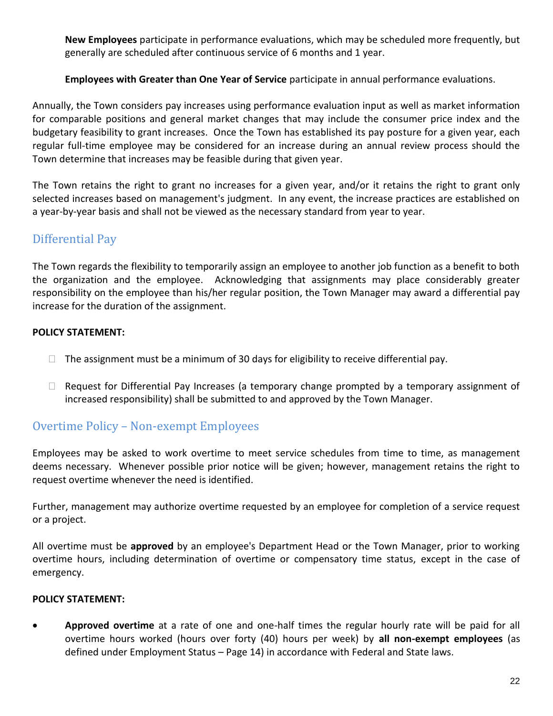**New Employees** participate in performance evaluations, which may be scheduled more frequently, but generally are scheduled after continuous service of 6 months and 1 year.

#### **Employees with Greater than One Year of Service** participate in annual performance evaluations.

Annually, the Town considers pay increases using performance evaluation input as well as market information for comparable positions and general market changes that may include the consumer price index and the budgetary feasibility to grant increases. Once the Town has established its pay posture for a given year, each regular full-time employee may be considered for an increase during an annual review process should the Town determine that increases may be feasible during that given year.

The Town retains the right to grant no increases for a given year, and/or it retains the right to grant only selected increases based on management's judgment. In any event, the increase practices are established on a year-by-year basis and shall not be viewed as the necessary standard from year to year.

## <span id="page-21-0"></span>Differential Pay

The Town regards the flexibility to temporarily assign an employee to another job function as a benefit to both the organization and the employee. Acknowledging that assignments may place considerably greater responsibility on the employee than his/her regular position, the Town Manager may award a differential pay increase for the duration of the assignment.

#### **POLICY STATEMENT:**

- $\Box$  The assignment must be a minimum of 30 days for eligibility to receive differential pay.
- $\Box$  Request for Differential Pay Increases (a temporary change prompted by a temporary assignment of increased responsibility) shall be submitted to and approved by the Town Manager.

## <span id="page-21-1"></span>Overtime Policy – Non-exempt Employees

Employees may be asked to work overtime to meet service schedules from time to time, as management deems necessary. Whenever possible prior notice will be given; however, management retains the right to request overtime whenever the need is identified.

Further, management may authorize overtime requested by an employee for completion of a service request or a project.

All overtime must be **approved** by an employee's Department Head or the Town Manager, prior to working overtime hours, including determination of overtime or compensatory time status, except in the case of emergency.

#### **POLICY STATEMENT:**

 **Approved overtime** at a rate of one and one-half times the regular hourly rate will be paid for all overtime hours worked (hours over forty (40) hours per week) by **all non-exempt employees** (as defined under Employment Status – Page 14) in accordance with Federal and State laws.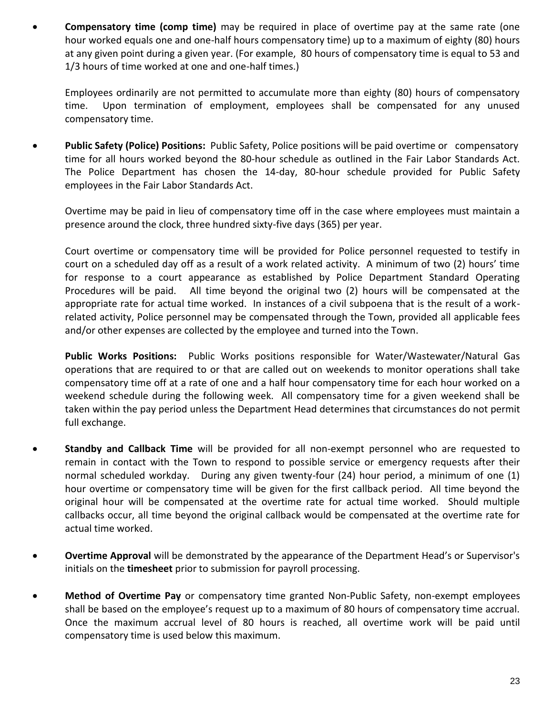**Compensatory time (comp time)** may be required in place of overtime pay at the same rate (one hour worked equals one and one-half hours compensatory time) up to a maximum of eighty (80) hours at any given point during a given year. (For example, 80 hours of compensatory time is equal to 53 and 1/3 hours of time worked at one and one-half times.)

Employees ordinarily are not permitted to accumulate more than eighty (80) hours of compensatory time. Upon termination of employment, employees shall be compensated for any unused compensatory time.

 **Public Safety (Police) Positions:** Public Safety, Police positions will be paid overtime or compensatory time for all hours worked beyond the 80-hour schedule as outlined in the Fair Labor Standards Act. The Police Department has chosen the 14-day, 80-hour schedule provided for Public Safety employees in the Fair Labor Standards Act.

Overtime may be paid in lieu of compensatory time off in the case where employees must maintain a presence around the clock, three hundred sixty-five days (365) per year.

Court overtime or compensatory time will be provided for Police personnel requested to testify in court on a scheduled day off as a result of a work related activity. A minimum of two (2) hours' time for response to a court appearance as established by Police Department Standard Operating Procedures will be paid. All time beyond the original two (2) hours will be compensated at the appropriate rate for actual time worked. In instances of a civil subpoena that is the result of a workrelated activity, Police personnel may be compensated through the Town, provided all applicable fees and/or other expenses are collected by the employee and turned into the Town.

**Public Works Positions:** Public Works positions responsible for Water/Wastewater/Natural Gas operations that are required to or that are called out on weekends to monitor operations shall take compensatory time off at a rate of one and a half hour compensatory time for each hour worked on a weekend schedule during the following week. All compensatory time for a given weekend shall be taken within the pay period unless the Department Head determines that circumstances do not permit full exchange.

- **Standby and Callback Time** will be provided for all non-exempt personnel who are requested to remain in contact with the Town to respond to possible service or emergency requests after their normal scheduled workday. During any given twenty-four (24) hour period, a minimum of one (1) hour overtime or compensatory time will be given for the first callback period. All time beyond the original hour will be compensated at the overtime rate for actual time worked. Should multiple callbacks occur, all time beyond the original callback would be compensated at the overtime rate for actual time worked.
- **Overtime Approval** will be demonstrated by the appearance of the Department Head's or Supervisor's initials on the **timesheet** prior to submission for payroll processing.
- **Method of Overtime Pay** or compensatory time granted Non-Public Safety, non-exempt employees shall be based on the employee's request up to a maximum of 80 hours of compensatory time accrual. Once the maximum accrual level of 80 hours is reached, all overtime work will be paid until compensatory time is used below this maximum.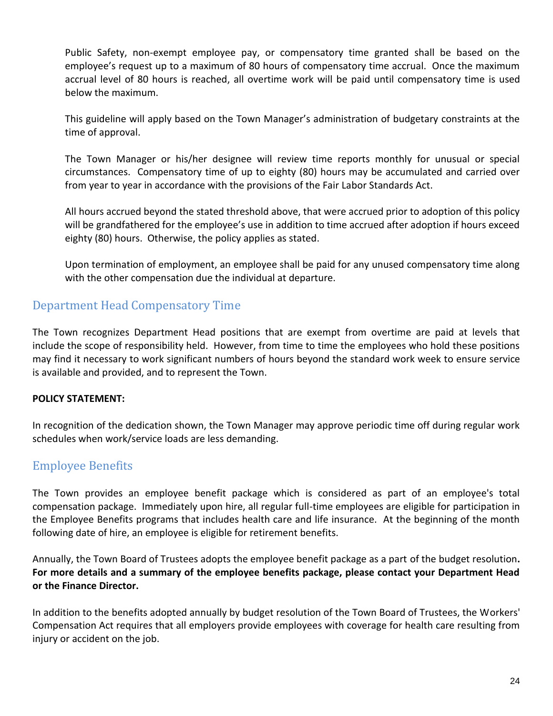Public Safety, non-exempt employee pay, or compensatory time granted shall be based on the employee's request up to a maximum of 80 hours of compensatory time accrual. Once the maximum accrual level of 80 hours is reached, all overtime work will be paid until compensatory time is used below the maximum.

This guideline will apply based on the Town Manager's administration of budgetary constraints at the time of approval.

The Town Manager or his/her designee will review time reports monthly for unusual or special circumstances. Compensatory time of up to eighty (80) hours may be accumulated and carried over from year to year in accordance with the provisions of the Fair Labor Standards Act.

All hours accrued beyond the stated threshold above, that were accrued prior to adoption of this policy will be grandfathered for the employee's use in addition to time accrued after adoption if hours exceed eighty (80) hours. Otherwise, the policy applies as stated.

Upon termination of employment, an employee shall be paid for any unused compensatory time along with the other compensation due the individual at departure.

## <span id="page-23-0"></span>Department Head Compensatory Time

The Town recognizes Department Head positions that are exempt from overtime are paid at levels that include the scope of responsibility held. However, from time to time the employees who hold these positions may find it necessary to work significant numbers of hours beyond the standard work week to ensure service is available and provided, and to represent the Town.

#### **POLICY STATEMENT:**

In recognition of the dedication shown, the Town Manager may approve periodic time off during regular work schedules when work/service loads are less demanding.

## <span id="page-23-1"></span>Employee Benefits

The Town provides an employee benefit package which is considered as part of an employee's total compensation package. Immediately upon hire, all regular full-time employees are eligible for participation in the Employee Benefits programs that includes health care and life insurance. At the beginning of the month following date of hire, an employee is eligible for retirement benefits.

Annually, the Town Board of Trustees adopts the employee benefit package as a part of the budget resolution**. For more details and a summary of the employee benefits package, please contact your Department Head or the Finance Director.**

In addition to the benefits adopted annually by budget resolution of the Town Board of Trustees, the Workers' Compensation Act requires that all employers provide employees with coverage for health care resulting from injury or accident on the job.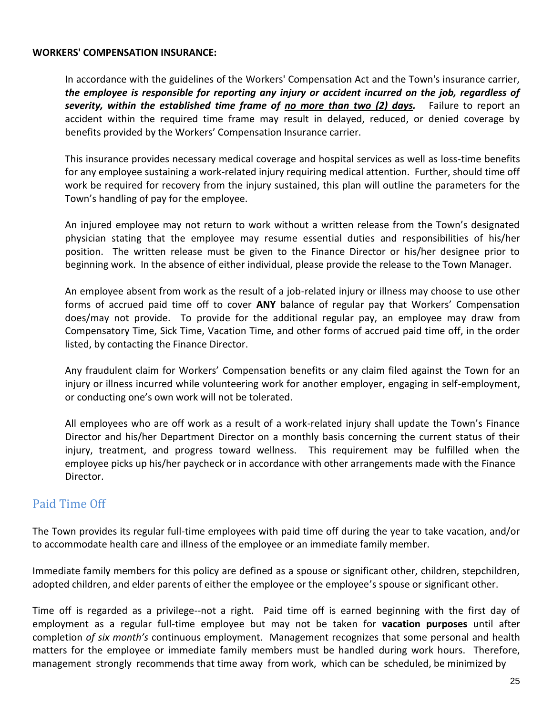#### **WORKERS' COMPENSATION INSURANCE:**

In accordance with the guidelines of the Workers' Compensation Act and the Town's insurance carrier, *the employee is responsible for reporting any injury or accident incurred on the job, regardless of severity, within the established time frame of no more than two (2) days.* Failure to report an accident within the required time frame may result in delayed, reduced, or denied coverage by benefits provided by the Workers' Compensation Insurance carrier.

This insurance provides necessary medical coverage and hospital services as well as loss-time benefits for any employee sustaining a work-related injury requiring medical attention. Further, should time off work be required for recovery from the injury sustained, this plan will outline the parameters for the Town's handling of pay for the employee.

An injured employee may not return to work without a written release from the Town's designated physician stating that the employee may resume essential duties and responsibilities of his/her position. The written release must be given to the Finance Director or his/her designee prior to beginning work. In the absence of either individual, please provide the release to the Town Manager.

An employee absent from work as the result of a job-related injury or illness may choose to use other forms of accrued paid time off to cover **ANY** balance of regular pay that Workers' Compensation does/may not provide. To provide for the additional regular pay, an employee may draw from Compensatory Time, Sick Time, Vacation Time, and other forms of accrued paid time off, in the order listed, by contacting the Finance Director.

Any fraudulent claim for Workers' Compensation benefits or any claim filed against the Town for an injury or illness incurred while volunteering work for another employer, engaging in self-employment, or conducting one's own work will not be tolerated.

All employees who are off work as a result of a work-related injury shall update the Town's Finance Director and his/her Department Director on a monthly basis concerning the current status of their injury, treatment, and progress toward wellness. This requirement may be fulfilled when the employee picks up his/her paycheck or in accordance with other arrangements made with the Finance Director.

## <span id="page-24-0"></span>Paid Time Off

The Town provides its regular full-time employees with paid time off during the year to take vacation, and/or to accommodate health care and illness of the employee or an immediate family member.

Immediate family members for this policy are defined as a spouse or significant other, children, stepchildren, adopted children, and elder parents of either the employee or the employee's spouse or significant other.

Time off is regarded as a privilege--not a right. Paid time off is earned beginning with the first day of employment as a regular full-time employee but may not be taken for **vacation purposes** until after completion *of six month's* continuous employment. Management recognizes that some personal and health matters for the employee or immediate family members must be handled during work hours. Therefore, management strongly recommends that time away from work, which can be scheduled, be minimized by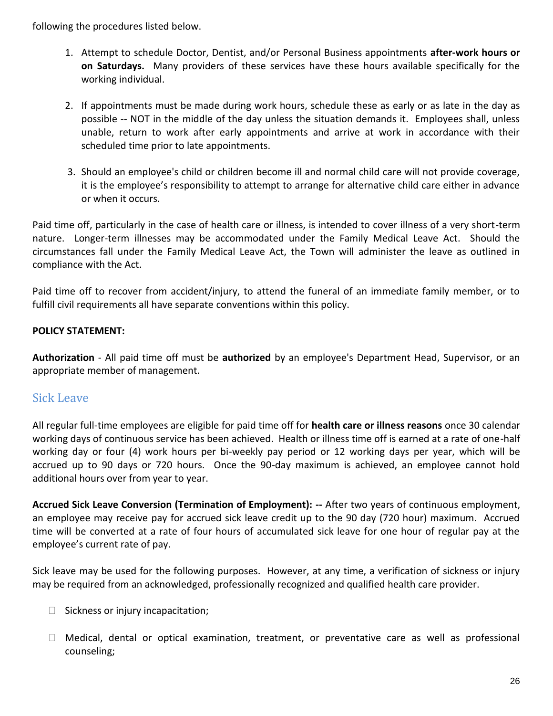following the procedures listed below.

- 1. Attempt to schedule Doctor, Dentist, and/or Personal Business appointments **after-work hours or on Saturdays.** Many providers of these services have these hours available specifically for the working individual.
- 2. If appointments must be made during work hours, schedule these as early or as late in the day as possible -- NOT in the middle of the day unless the situation demands it. Employees shall, unless unable, return to work after early appointments and arrive at work in accordance with their scheduled time prior to late appointments.
- 3. Should an employee's child or children become ill and normal child care will not provide coverage, it is the employee's responsibility to attempt to arrange for alternative child care either in advance or when it occurs.

Paid time off, particularly in the case of health care or illness, is intended to cover illness of a very short-term nature. Longer-term illnesses may be accommodated under the Family Medical Leave Act. Should the circumstances fall under the Family Medical Leave Act, the Town will administer the leave as outlined in compliance with the Act.

Paid time off to recover from accident/injury, to attend the funeral of an immediate family member, or to fulfill civil requirements all have separate conventions within this policy.

#### **POLICY STATEMENT:**

**Authorization** - All paid time off must be **authorized** by an employee's Department Head, Supervisor, or an appropriate member of management.

## <span id="page-25-0"></span>Sick Leave

All regular full-time employees are eligible for paid time off for **health care or illness reasons** once 30 calendar working days of continuous service has been achieved. Health or illness time off is earned at a rate of one-half working day or four (4) work hours per bi-weekly pay period or 12 working days per year, which will be accrued up to 90 days or 720 hours. Once the 90-day maximum is achieved, an employee cannot hold additional hours over from year to year.

**Accrued Sick Leave Conversion (Termination of Employment): --** After two years of continuous employment, an employee may receive pay for accrued sick leave credit up to the 90 day (720 hour) maximum. Accrued time will be converted at a rate of four hours of accumulated sick leave for one hour of regular pay at the employee's current rate of pay.

Sick leave may be used for the following purposes. However, at any time, a verification of sickness or injury may be required from an acknowledged, professionally recognized and qualified health care provider.

- $\Box$  Sickness or injury incapacitation;
- Medical, dental or optical examination, treatment, or preventative care as well as professional counseling;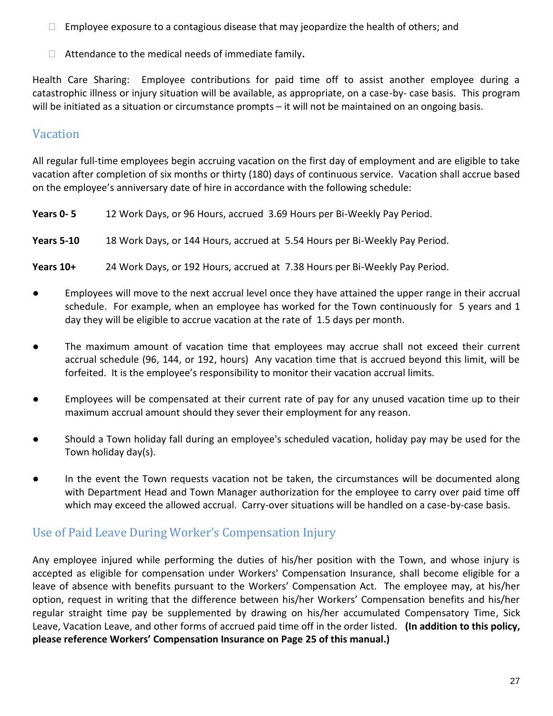- $\Box$  Employee exposure to a contagious disease that may jeopardize the health of others; and
- <span id="page-26-0"></span>Attendance to the medical needs of immediate family**.**

Health Care Sharing: Employee contributions for paid time off to assist another employee during a catastrophic illness or injury situation will be available, as appropriate, on a case-by- case basis. This program will be initiated as a situation or circumstance prompts - it will not be maintained on an ongoing basis.

## Vacation

All regular full-time employees begin accruing vacation on the first day of employment and are eligible to take vacation after completion of six months or thirty (180) days of continuous service. Vacation shall accrue based on the employee's anniversary date of hire in accordance with the following schedule:

| Years 0-5         | 12 Work Days, or 96 Hours, accrued 3.69 Hours per Bi-Weekly Pay Period.     |
|-------------------|-----------------------------------------------------------------------------|
| <b>Years 5-10</b> | 18 Work Days, or 144 Hours, accrued at 5.54 Hours per Bi-Weekly Pay Period. |
| Years 10+         | 24 Work Days, or 192 Hours, accrued at 7.38 Hours per Bi-Weekly Pay Period. |

- Employees will move to the next accrual level once they have attained the upper range in their accrual schedule. For example, when an employee has worked for the Town continuously for 5 years and 1 day they will be eligible to accrue vacation at the rate of 1.5 days per month.
- The maximum amount of vacation time that employees may accrue shall not exceed their current accrual schedule (96, 144, or 192, hours) Any vacation time that is accrued beyond this limit, will be forfeited. It is the employee's responsibility to monitor their vacation accrual limits.
- Employees will be compensated at their current rate of pay for any unused vacation time up to their maximum accrual amount should they sever their employment for any reason.
- Should a Town holiday fall during an employee's scheduled vacation, holiday pay may be used for the Town holiday day(s).
- In the event the Town requests vacation not be taken, the circumstances will be documented along with Department Head and Town Manager authorization for the employee to carry over paid time off which may exceed the allowed accrual. Carry-over situations will be handled on a case-by-case basis.

## <span id="page-26-1"></span>Use of Paid Leave During Worker's Compensation Injury

Any employee injured while performing the duties of his/her position with the Town, and whose injury is accepted as eligible for compensation under Workers' Compensation Insurance, shall become eligible for a leave of absence with benefits pursuant to the Workers' Compensation Act. The employee may, at his/her option, request in writing that the difference between his/her Workers' Compensation benefits and his/her regular straight time pay be supplemented by drawing on his/her accumulated Compensatory Time, Sick Leave, Vacation Leave, and other forms of accrued paid time off in the order listed. **(In addition to this policy, please reference Workers' Compensation Insurance on Page 25 of this manual.)**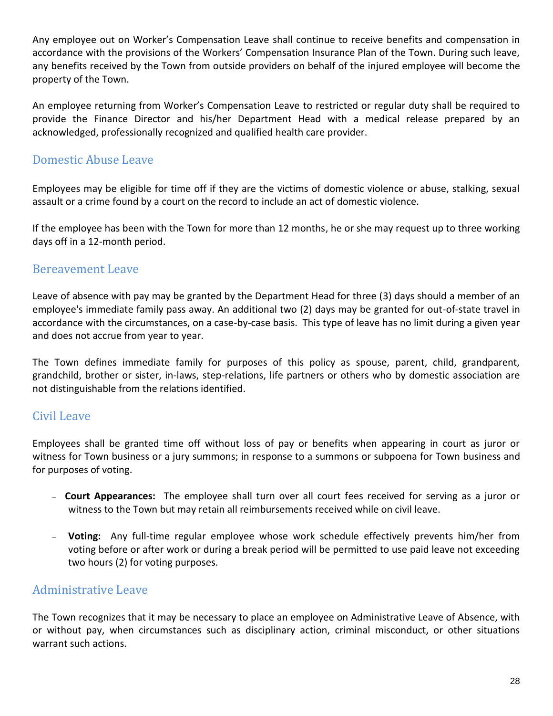Any employee out on Worker's Compensation Leave shall continue to receive benefits and compensation in accordance with the provisions of the Workers' Compensation Insurance Plan of the Town. During such leave, any benefits received by the Town from outside providers on behalf of the injured employee will become the property of the Town.

An employee returning from Worker's Compensation Leave to restricted or regular duty shall be required to provide the Finance Director and his/her Department Head with a medical release prepared by an acknowledged, professionally recognized and qualified health care provider.

## <span id="page-27-0"></span>Domestic Abuse Leave

Employees may be eligible for time off if they are the victims of domestic violence or abuse, stalking, sexual assault or a crime found by a court on the record to include an act of domestic violence.

If the employee has been with the Town for more than 12 months, he or she may request up to three working days off in a 12-month period.

### Bereavement Leave

Leave of absence with pay may be granted by the Department Head for three (3) days should a member of an employee's immediate family pass away. An additional two (2) days may be granted for out-of-state travel in accordance with the circumstances, on a case-by-case basis. This type of leave has no limit during a given year and does not accrue from year to year.

The Town defines immediate family for purposes of this policy as spouse, parent, child, grandparent, grandchild, brother or sister, in-laws, step-relations, life partners or others who by domestic association are not distinguishable from the relations identified.

## <span id="page-27-1"></span>Civil Leave

Employees shall be granted time off without loss of pay or benefits when appearing in court as juror or witness for Town business or a jury summons; in response to a summons or subpoena for Town business and for purposes of voting.

- **Court Appearances:** The employee shall turn over all court fees received for serving as a juror or witness to the Town but may retain all reimbursements received while on civil leave.
- **Voting:** Any full-time regular employee whose work schedule effectively prevents him/her from voting before or after work or during a break period will be permitted to use paid leave not exceeding two hours (2) for voting purposes.

## <span id="page-27-2"></span>Administrative Leave

The Town recognizes that it may be necessary to place an employee on Administrative Leave of Absence, with or without pay, when circumstances such as disciplinary action, criminal misconduct, or other situations warrant such actions.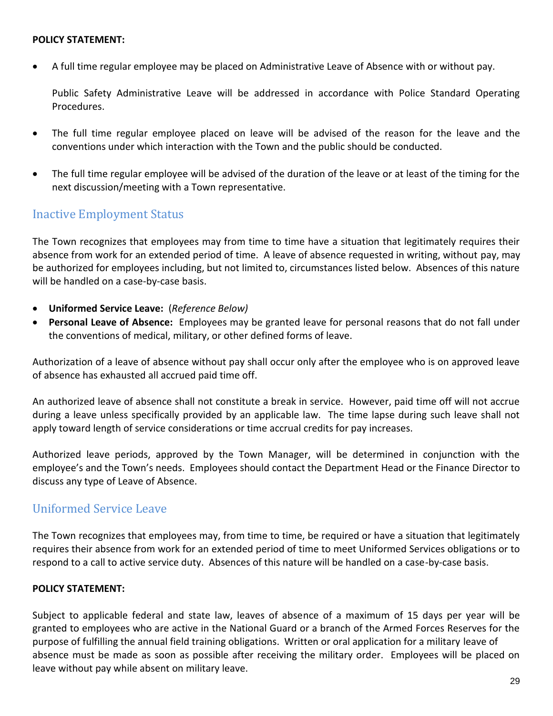#### **POLICY STATEMENT:**

A full time regular employee may be placed on Administrative Leave of Absence with or without pay.

Public Safety Administrative Leave will be addressed in accordance with Police Standard Operating Procedures.

- The full time regular employee placed on leave will be advised of the reason for the leave and the conventions under which interaction with the Town and the public should be conducted.
- The full time regular employee will be advised of the duration of the leave or at least of the timing for the next discussion/meeting with a Town representative.

### <span id="page-28-0"></span>Inactive Employment Status

The Town recognizes that employees may from time to time have a situation that legitimately requires their absence from work for an extended period of time. A leave of absence requested in writing, without pay, may be authorized for employees including, but not limited to, circumstances listed below. Absences of this nature will be handled on a case-by-case basis.

- **Uniformed Service Leave:** (*Reference Below)*
- **Personal Leave of Absence:** Employees may be granted leave for personal reasons that do not fall under the conventions of medical, military, or other defined forms of leave.

Authorization of a leave of absence without pay shall occur only after the employee who is on approved leave of absence has exhausted all accrued paid time off.

An authorized leave of absence shall not constitute a break in service. However, paid time off will not accrue during a leave unless specifically provided by an applicable law. The time lapse during such leave shall not apply toward length of service considerations or time accrual credits for pay increases.

Authorized leave periods, approved by the Town Manager, will be determined in conjunction with the employee's and the Town's needs. Employees should contact the Department Head or the Finance Director to discuss any type of Leave of Absence.

#### <span id="page-28-1"></span>Uniformed Service Leave

The Town recognizes that employees may, from time to time, be required or have a situation that legitimately requires their absence from work for an extended period of time to meet Uniformed Services obligations or to respond to a call to active service duty. Absences of this nature will be handled on a case-by-case basis.

#### **POLICY STATEMENT:**

Subject to applicable federal and state law, leaves of absence of a maximum of 15 days per year will be granted to employees who are active in the National Guard or a branch of the Armed Forces Reserves for the purpose of fulfilling the annual field training obligations. Written or oral application for a military leave of absence must be made as soon as possible after receiving the military order. Employees will be placed on leave without pay while absent on military leave.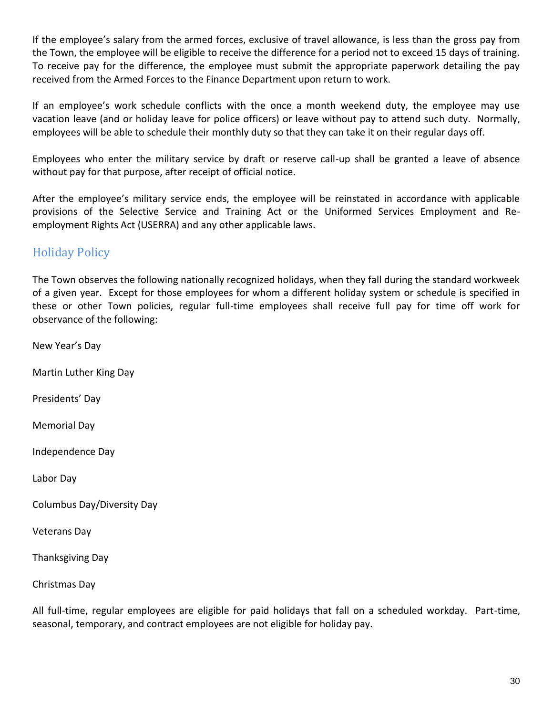If the employee's salary from the armed forces, exclusive of travel allowance, is less than the gross pay from the Town, the employee will be eligible to receive the difference for a period not to exceed 15 days of training. To receive pay for the difference, the employee must submit the appropriate paperwork detailing the pay received from the Armed Forces to the Finance Department upon return to work.

If an employee's work schedule conflicts with the once a month weekend duty, the employee may use vacation leave (and or holiday leave for police officers) or leave without pay to attend such duty. Normally, employees will be able to schedule their monthly duty so that they can take it on their regular days off.

Employees who enter the military service by draft or reserve call-up shall be granted a leave of absence without pay for that purpose, after receipt of official notice.

After the employee's military service ends, the employee will be reinstated in accordance with applicable provisions of the Selective Service and Training Act or the Uniformed Services Employment and Reemployment Rights Act (USERRA) and any other applicable laws.

## <span id="page-29-0"></span>Holiday Policy

The Town observes the following nationally recognized holidays, when they fall during the standard workweek of a given year. Except for those employees for whom a different holiday system or schedule is specified in these or other Town policies, regular full-time employees shall receive full pay for time off work for observance of the following:

New Year's Day

Martin Luther King Day

Presidents' Day

Memorial Day

Independence Day

Labor Day

Columbus Day/Diversity Day

Veterans Day

Thanksgiving Day

Christmas Day

All full-time, regular employees are eligible for paid holidays that fall on a scheduled workday. Part-time, seasonal, temporary, and contract employees are not eligible for holiday pay.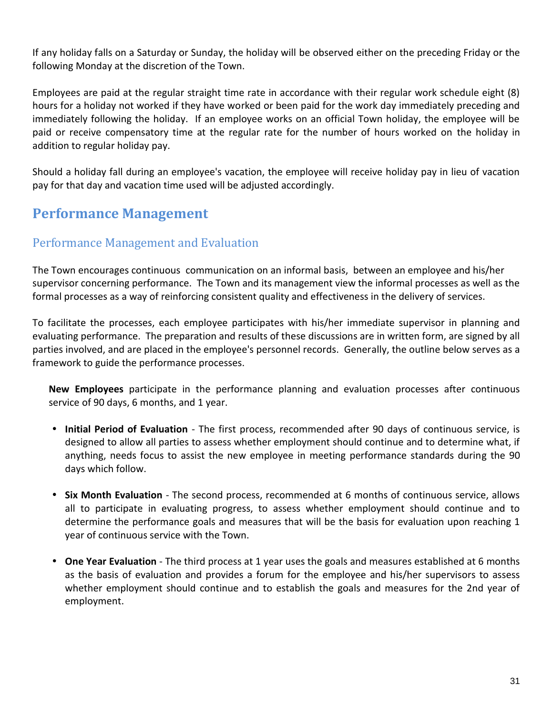If any holiday falls on a Saturday or Sunday, the holiday will be observed either on the preceding Friday or the following Monday at the discretion of the Town.

Employees are paid at the regular straight time rate in accordance with their regular work schedule eight (8) hours for a holiday not worked if they have worked or been paid for the work day immediately preceding and immediately following the holiday. If an employee works on an official Town holiday, the employee will be paid or receive compensatory time at the regular rate for the number of hours worked on the holiday in addition to regular holiday pay.

<span id="page-30-0"></span>Should a holiday fall during an employee's vacation, the employee will receive holiday pay in lieu of vacation pay for that day and vacation time used will be adjusted accordingly.

## **Performance Management**

## <span id="page-30-1"></span>Performance Management and Evaluation

The Town encourages continuous communication on an informal basis, between an employee and his/her supervisor concerning performance. The Town and its management view the informal processes as well as the formal processes as a way of reinforcing consistent quality and effectiveness in the delivery of services.

To facilitate the processes, each employee participates with his/her immediate supervisor in planning and evaluating performance. The preparation and results of these discussions are in written form, are signed by all parties involved, and are placed in the employee's personnel records. Generally, the outline below serves as a framework to guide the performance processes.

**New Employees** participate in the performance planning and evaluation processes after continuous service of 90 days, 6 months, and 1 year.

- **Initial Period of Evaluation**  The first process, recommended after 90 days of continuous service, is designed to allow all parties to assess whether employment should continue and to determine what, if anything, needs focus to assist the new employee in meeting performance standards during the 90 days which follow.
- **Six Month Evaluation**  The second process, recommended at 6 months of continuous service, allows all to participate in evaluating progress, to assess whether employment should continue and to determine the performance goals and measures that will be the basis for evaluation upon reaching 1 year of continuous service with the Town.
- **One Year Evaluation**  The third process at 1 year uses the goals and measures established at 6 months as the basis of evaluation and provides a forum for the employee and his/her supervisors to assess whether employment should continue and to establish the goals and measures for the 2nd year of employment.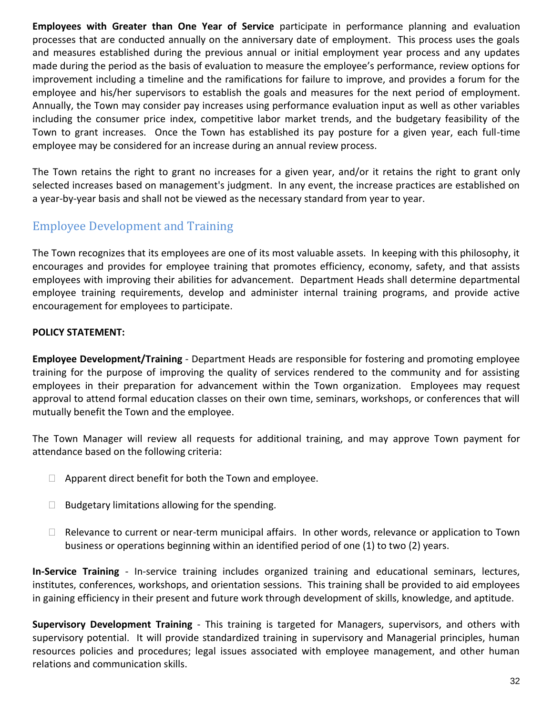**Employees with Greater than One Year of Service** participate in performance planning and evaluation processes that are conducted annually on the anniversary date of employment. This process uses the goals and measures established during the previous annual or initial employment year process and any updates made during the period as the basis of evaluation to measure the employee's performance, review options for improvement including a timeline and the ramifications for failure to improve, and provides a forum for the employee and his/her supervisors to establish the goals and measures for the next period of employment. Annually, the Town may consider pay increases using performance evaluation input as well as other variables including the consumer price index, competitive labor market trends, and the budgetary feasibility of the Town to grant increases. Once the Town has established its pay posture for a given year, each full-time employee may be considered for an increase during an annual review process.

The Town retains the right to grant no increases for a given year, and/or it retains the right to grant only selected increases based on management's judgment. In any event, the increase practices are established on a year-by-year basis and shall not be viewed as the necessary standard from year to year.

## <span id="page-31-0"></span>Employee Development and Training

The Town recognizes that its employees are one of its most valuable assets. In keeping with this philosophy, it encourages and provides for employee training that promotes efficiency, economy, safety, and that assists employees with improving their abilities for advancement. Department Heads shall determine departmental employee training requirements, develop and administer internal training programs, and provide active encouragement for employees to participate.

#### **POLICY STATEMENT:**

**Employee Development/Training** - Department Heads are responsible for fostering and promoting employee training for the purpose of improving the quality of services rendered to the community and for assisting employees in their preparation for advancement within the Town organization. Employees may request approval to attend formal education classes on their own time, seminars, workshops, or conferences that will mutually benefit the Town and the employee.

The Town Manager will review all requests for additional training, and may approve Town payment for attendance based on the following criteria:

- $\Box$  Apparent direct benefit for both the Town and employee.
- $\Box$  Budgetary limitations allowing for the spending.
- $\Box$  Relevance to current or near-term municipal affairs. In other words, relevance or application to Town business or operations beginning within an identified period of one (1) to two (2) years.

**In-Service Training** - In-service training includes organized training and educational seminars, lectures, institutes, conferences, workshops, and orientation sessions. This training shall be provided to aid employees in gaining efficiency in their present and future work through development of skills, knowledge, and aptitude.

**Supervisory Development Training** - This training is targeted for Managers, supervisors, and others with supervisory potential. It will provide standardized training in supervisory and Managerial principles, human resources policies and procedures; legal issues associated with employee management, and other human relations and communication skills.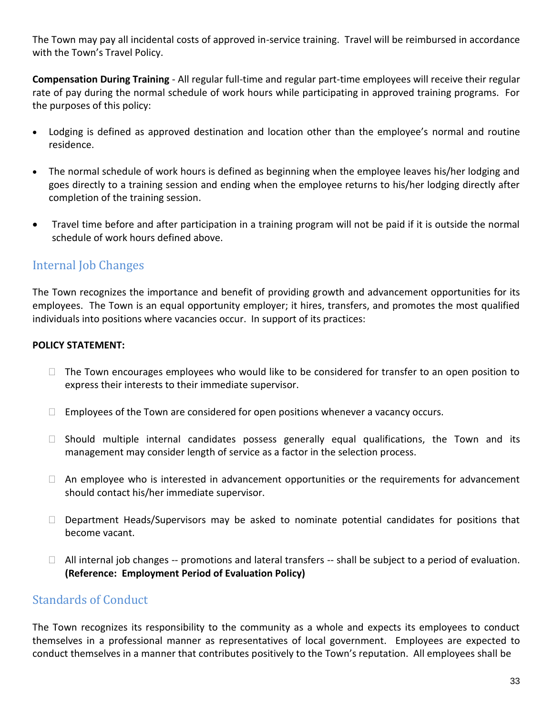The Town may pay all incidental costs of approved in-service training. Travel will be reimbursed in accordance with the Town's Travel Policy.

**Compensation During Training** - All regular full-time and regular part-time employees will receive their regular rate of pay during the normal schedule of work hours while participating in approved training programs. For the purposes of this policy:

- Lodging is defined as approved destination and location other than the employee's normal and routine residence.
- The normal schedule of work hours is defined as beginning when the employee leaves his/her lodging and goes directly to a training session and ending when the employee returns to his/her lodging directly after completion of the training session.
- Travel time before and after participation in a training program will not be paid if it is outside the normal schedule of work hours defined above.

## <span id="page-32-0"></span>Internal Job Changes

The Town recognizes the importance and benefit of providing growth and advancement opportunities for its employees. The Town is an equal opportunity employer; it hires, transfers, and promotes the most qualified individuals into positions where vacancies occur. In support of its practices:

#### **POLICY STATEMENT:**

- $\Box$  The Town encourages employees who would like to be considered for transfer to an open position to express their interests to their immediate supervisor.
- $\Box$  Employees of the Town are considered for open positions whenever a vacancy occurs.
- $\Box$  Should multiple internal candidates possess generally equal qualifications, the Town and its management may consider length of service as a factor in the selection process.
- $\Box$  An employee who is interested in advancement opportunities or the requirements for advancement should contact his/her immediate supervisor.
- $\Box$  Department Heads/Supervisors may be asked to nominate potential candidates for positions that become vacant.
- $\Box$  All internal job changes -- promotions and lateral transfers -- shall be subject to a period of evaluation. **(Reference: Employment Period of Evaluation Policy)**

## <span id="page-32-1"></span>Standards of Conduct

The Town recognizes its responsibility to the community as a whole and expects its employees to conduct themselves in a professional manner as representatives of local government. Employees are expected to conduct themselves in a manner that contributes positively to the Town's reputation. All employees shall be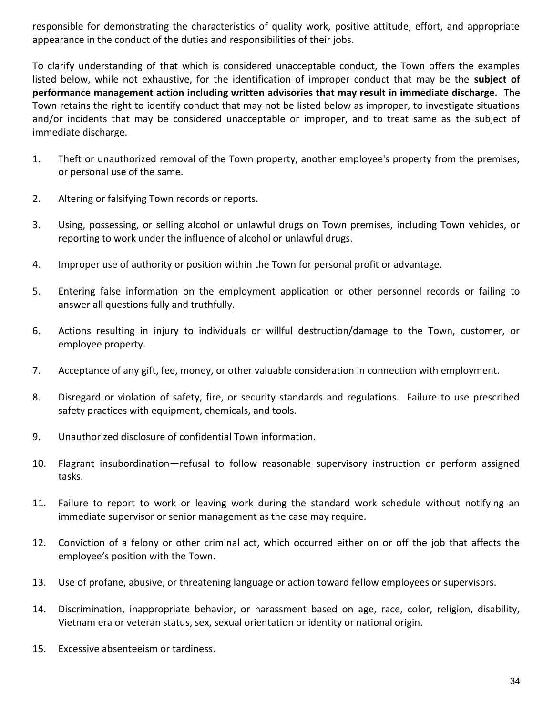responsible for demonstrating the characteristics of quality work, positive attitude, effort, and appropriate appearance in the conduct of the duties and responsibilities of their jobs.

To clarify understanding of that which is considered unacceptable conduct, the Town offers the examples listed below, while not exhaustive, for the identification of improper conduct that may be the **subject of performance management action including written advisories that may result in immediate discharge.** The Town retains the right to identify conduct that may not be listed below as improper, to investigate situations and/or incidents that may be considered unacceptable or improper, and to treat same as the subject of immediate discharge.

- 1. Theft or unauthorized removal of the Town property, another employee's property from the premises, or personal use of the same.
- 2. Altering or falsifying Town records or reports.
- 3. Using, possessing, or selling alcohol or unlawful drugs on Town premises, including Town vehicles, or reporting to work under the influence of alcohol or unlawful drugs.
- 4. Improper use of authority or position within the Town for personal profit or advantage.
- 5. Entering false information on the employment application or other personnel records or failing to answer all questions fully and truthfully.
- 6. Actions resulting in injury to individuals or willful destruction/damage to the Town, customer, or employee property.
- 7. Acceptance of any gift, fee, money, or other valuable consideration in connection with employment.
- 8. Disregard or violation of safety, fire, or security standards and regulations. Failure to use prescribed safety practices with equipment, chemicals, and tools.
- 9. Unauthorized disclosure of confidential Town information.
- 10. Flagrant insubordination—refusal to follow reasonable supervisory instruction or perform assigned tasks.
- 11. Failure to report to work or leaving work during the standard work schedule without notifying an immediate supervisor or senior management as the case may require.
- 12. Conviction of a felony or other criminal act, which occurred either on or off the job that affects the employee's position with the Town.
- 13. Use of profane, abusive, or threatening language or action toward fellow employees or supervisors.
- 14. Discrimination, inappropriate behavior, or harassment based on age, race, color, religion, disability, Vietnam era or veteran status, sex, sexual orientation or identity or national origin.
- 15. Excessive absenteeism or tardiness.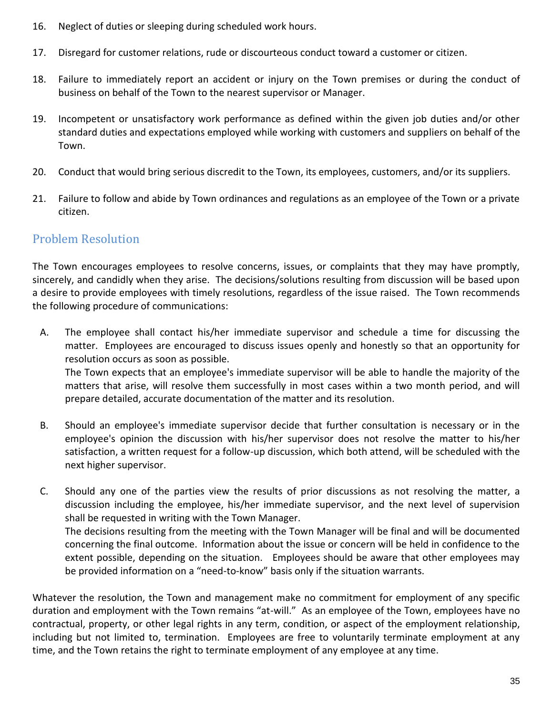- 16. Neglect of duties or sleeping during scheduled work hours.
- 17. Disregard for customer relations, rude or discourteous conduct toward a customer or citizen.
- 18. Failure to immediately report an accident or injury on the Town premises or during the conduct of business on behalf of the Town to the nearest supervisor or Manager.
- 19. Incompetent or unsatisfactory work performance as defined within the given job duties and/or other standard duties and expectations employed while working with customers and suppliers on behalf of the Town.
- 20. Conduct that would bring serious discredit to the Town, its employees, customers, and/or its suppliers.
- 21. Failure to follow and abide by Town ordinances and regulations as an employee of the Town or a private citizen.

## <span id="page-34-0"></span>Problem Resolution

The Town encourages employees to resolve concerns, issues, or complaints that they may have promptly, sincerely, and candidly when they arise. The decisions/solutions resulting from discussion will be based upon a desire to provide employees with timely resolutions, regardless of the issue raised. The Town recommends the following procedure of communications:

 A. The employee shall contact his/her immediate supervisor and schedule a time for discussing the matter. Employees are encouraged to discuss issues openly and honestly so that an opportunity for resolution occurs as soon as possible. The Town expects that an employee's immediate supervisor will be able to handle the majority of the

matters that arise, will resolve them successfully in most cases within a two month period, and will prepare detailed, accurate documentation of the matter and its resolution.

- B. Should an employee's immediate supervisor decide that further consultation is necessary or in the employee's opinion the discussion with his/her supervisor does not resolve the matter to his/her satisfaction, a written request for a follow-up discussion, which both attend, will be scheduled with the next higher supervisor.
- C. Should any one of the parties view the results of prior discussions as not resolving the matter, a discussion including the employee, his/her immediate supervisor, and the next level of supervision shall be requested in writing with the Town Manager. The decisions resulting from the meeting with the Town Manager will be final and will be documented concerning the final outcome. Information about the issue or concern will be held in confidence to the extent possible, depending on the situation. Employees should be aware that other employees may be provided information on a "need-to-know" basis only if the situation warrants.

Whatever the resolution, the Town and management make no commitment for employment of any specific duration and employment with the Town remains "at-will." As an employee of the Town, employees have no contractual, property, or other legal rights in any term, condition, or aspect of the employment relationship, including but not limited to, termination. Employees are free to voluntarily terminate employment at any time, and the Town retains the right to terminate employment of any employee at any time.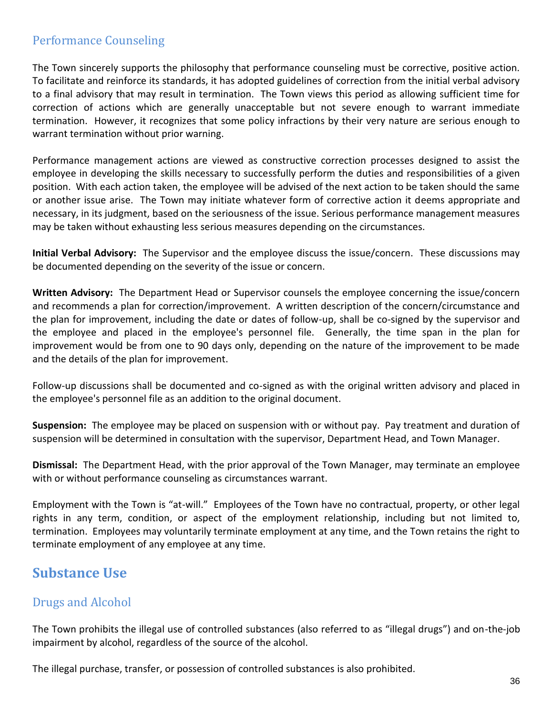## <span id="page-35-0"></span>Performance Counseling

The Town sincerely supports the philosophy that performance counseling must be corrective, positive action. To facilitate and reinforce its standards, it has adopted guidelines of correction from the initial verbal advisory to a final advisory that may result in termination. The Town views this period as allowing sufficient time for correction of actions which are generally unacceptable but not severe enough to warrant immediate termination. However, it recognizes that some policy infractions by their very nature are serious enough to warrant termination without prior warning.

Performance management actions are viewed as constructive correction processes designed to assist the employee in developing the skills necessary to successfully perform the duties and responsibilities of a given position. With each action taken, the employee will be advised of the next action to be taken should the same or another issue arise. The Town may initiate whatever form of corrective action it deems appropriate and necessary, in its judgment, based on the seriousness of the issue. Serious performance management measures may be taken without exhausting less serious measures depending on the circumstances.

**Initial Verbal Advisory:** The Supervisor and the employee discuss the issue/concern. These discussions may be documented depending on the severity of the issue or concern.

**Written Advisory:** The Department Head or Supervisor counsels the employee concerning the issue/concern and recommends a plan for correction/improvement. A written description of the concern/circumstance and the plan for improvement, including the date or dates of follow-up, shall be co-signed by the supervisor and the employee and placed in the employee's personnel file. Generally, the time span in the plan for improvement would be from one to 90 days only, depending on the nature of the improvement to be made and the details of the plan for improvement.

Follow-up discussions shall be documented and co-signed as with the original written advisory and placed in the employee's personnel file as an addition to the original document.

**Suspension:** The employee may be placed on suspension with or without pay. Pay treatment and duration of suspension will be determined in consultation with the supervisor, Department Head, and Town Manager.

**Dismissal:** The Department Head, with the prior approval of the Town Manager, may terminate an employee with or without performance counseling as circumstances warrant.

Employment with the Town is "at-will." Employees of the Town have no contractual, property, or other legal rights in any term, condition, or aspect of the employment relationship, including but not limited to, termination. Employees may voluntarily terminate employment at any time, and the Town retains the right to terminate employment of any employee at any time.

## <span id="page-35-1"></span>**Substance Use**

## <span id="page-35-2"></span>Drugs and Alcohol

The Town prohibits the illegal use of controlled substances (also referred to as "illegal drugs") and on-the-job impairment by alcohol, regardless of the source of the alcohol.

The illegal purchase, transfer, or possession of controlled substances is also prohibited.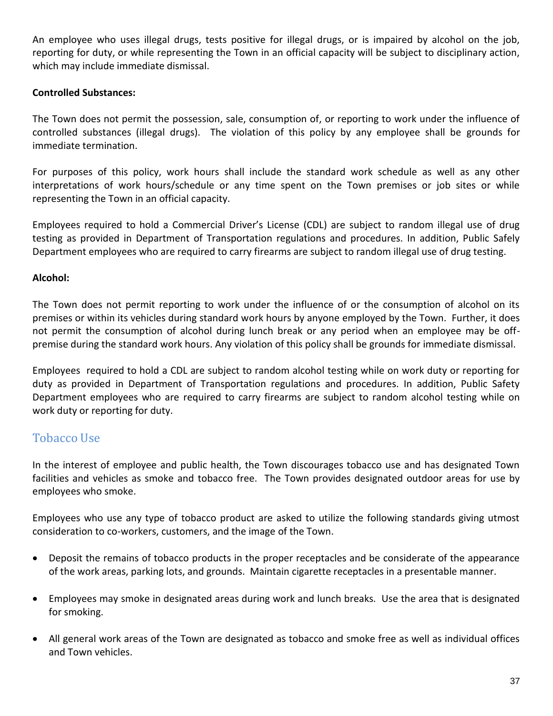An employee who uses illegal drugs, tests positive for illegal drugs, or is impaired by alcohol on the job, reporting for duty, or while representing the Town in an official capacity will be subject to disciplinary action, which may include immediate dismissal.

#### **Controlled Substances:**

The Town does not permit the possession, sale, consumption of, or reporting to work under the influence of controlled substances (illegal drugs). The violation of this policy by any employee shall be grounds for immediate termination.

For purposes of this policy, work hours shall include the standard work schedule as well as any other interpretations of work hours/schedule or any time spent on the Town premises or job sites or while representing the Town in an official capacity.

Employees required to hold a Commercial Driver's License (CDL) are subject to random illegal use of drug testing as provided in Department of Transportation regulations and procedures. In addition, Public Safely Department employees who are required to carry firearms are subject to random illegal use of drug testing.

#### **Alcohol:**

The Town does not permit reporting to work under the influence of or the consumption of alcohol on its premises or within its vehicles during standard work hours by anyone employed by the Town. Further, it does not permit the consumption of alcohol during lunch break or any period when an employee may be offpremise during the standard work hours. Any violation of this policy shall be grounds for immediate dismissal.

Employees required to hold a CDL are subject to random alcohol testing while on work duty or reporting for duty as provided in Department of Transportation regulations and procedures. In addition, Public Safety Department employees who are required to carry firearms are subject to random alcohol testing while on work duty or reporting for duty.

## <span id="page-36-0"></span>Tobacco Use

In the interest of employee and public health, the Town discourages tobacco use and has designated Town facilities and vehicles as smoke and tobacco free. The Town provides designated outdoor areas for use by employees who smoke.

Employees who use any type of tobacco product are asked to utilize the following standards giving utmost consideration to co-workers, customers, and the image of the Town.

- Deposit the remains of tobacco products in the proper receptacles and be considerate of the appearance of the work areas, parking lots, and grounds. Maintain cigarette receptacles in a presentable manner.
- Employees may smoke in designated areas during work and lunch breaks. Use the area that is designated for smoking.
- All general work areas of the Town are designated as tobacco and smoke free as well as individual offices and Town vehicles.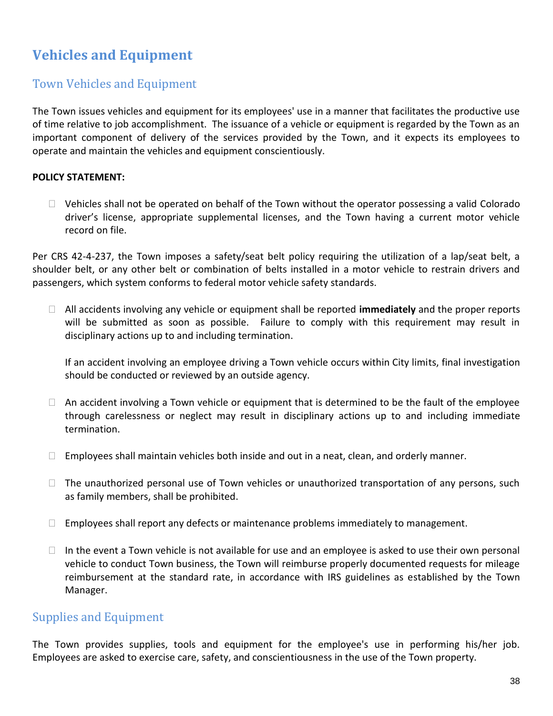## <span id="page-37-0"></span>**Vehicles and Equipment**

## Town Vehicles and Equipment

The Town issues vehicles and equipment for its employees' use in a manner that facilitates the productive use of time relative to job accomplishment. The issuance of a vehicle or equipment is regarded by the Town as an important component of delivery of the services provided by the Town, and it expects its employees to operate and maintain the vehicles and equipment conscientiously.

#### **POLICY STATEMENT:**

 $\Box$  Vehicles shall not be operated on behalf of the Town without the operator possessing a valid Colorado driver's license, appropriate supplemental licenses, and the Town having a current motor vehicle record on file.

Per CRS 42-4-237, the Town imposes a safety/seat belt policy requiring the utilization of a lap/seat belt, a shoulder belt, or any other belt or combination of belts installed in a motor vehicle to restrain drivers and passengers, which system conforms to federal motor vehicle safety standards.

 All accidents involving any vehicle or equipment shall be reported **immediately** and the proper reports will be submitted as soon as possible. Failure to comply with this requirement may result in disciplinary actions up to and including termination.

If an accident involving an employee driving a Town vehicle occurs within City limits, final investigation should be conducted or reviewed by an outside agency.

- $\Box$  An accident involving a Town vehicle or equipment that is determined to be the fault of the employee through carelessness or neglect may result in disciplinary actions up to and including immediate termination.
- $\Box$  Employees shall maintain vehicles both inside and out in a neat, clean, and orderly manner.
- $\Box$  The unauthorized personal use of Town vehicles or unauthorized transportation of any persons, such as family members, shall be prohibited.
- $\Box$  Employees shall report any defects or maintenance problems immediately to management.
- <span id="page-37-1"></span> $\Box$  In the event a Town vehicle is not available for use and an employee is asked to use their own personal vehicle to conduct Town business, the Town will reimburse properly documented requests for mileage reimbursement at the standard rate, in accordance with IRS guidelines as established by the Town Manager.

#### Supplies and Equipment

The Town provides supplies, tools and equipment for the employee's use in performing his/her job. Employees are asked to exercise care, safety, and conscientiousness in the use of the Town property.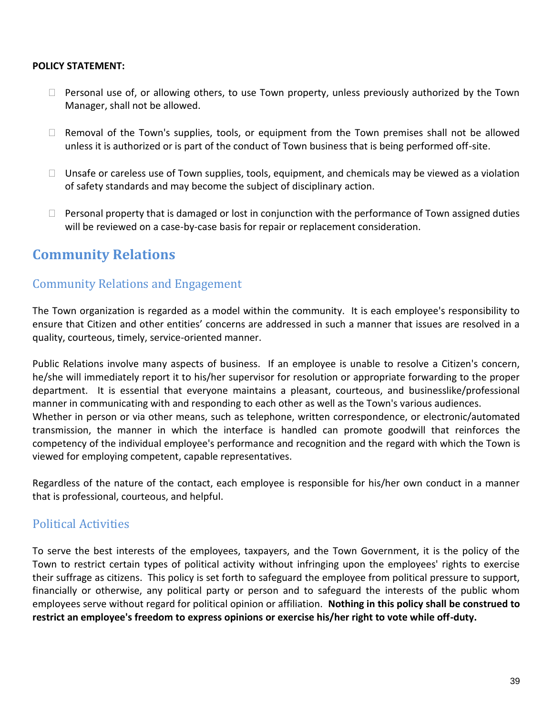#### **POLICY STATEMENT:**

- $\Box$  Personal use of, or allowing others, to use Town property, unless previously authorized by the Town Manager, shall not be allowed.
- $\Box$  Removal of the Town's supplies, tools, or equipment from the Town premises shall not be allowed unless it is authorized or is part of the conduct of Town business that is being performed off-site.
- $\Box$  Unsafe or careless use of Town supplies, tools, equipment, and chemicals may be viewed as a violation of safety standards and may become the subject of disciplinary action.
- $\Box$  Personal property that is damaged or lost in conjunction with the performance of Town assigned duties will be reviewed on a case-by-case basis for repair or replacement consideration.

## <span id="page-38-1"></span><span id="page-38-0"></span>**Community Relations**

#### Community Relations and Engagement

The Town organization is regarded as a model within the community. It is each employee's responsibility to ensure that Citizen and other entities' concerns are addressed in such a manner that issues are resolved in a quality, courteous, timely, service-oriented manner.

Public Relations involve many aspects of business. If an employee is unable to resolve a Citizen's concern, he/she will immediately report it to his/her supervisor for resolution or appropriate forwarding to the proper department. It is essential that everyone maintains a pleasant, courteous, and businesslike/professional manner in communicating with and responding to each other as well as the Town's various audiences. Whether in person or via other means, such as telephone, written correspondence, or electronic/automated transmission, the manner in which the interface is handled can promote goodwill that reinforces the competency of the individual employee's performance and recognition and the regard with which the Town is viewed for employing competent, capable representatives.

Regardless of the nature of the contact, each employee is responsible for his/her own conduct in a manner that is professional, courteous, and helpful.

## <span id="page-38-2"></span>Political Activities

To serve the best interests of the employees, taxpayers, and the Town Government, it is the policy of the Town to restrict certain types of political activity without infringing upon the employees' rights to exercise their suffrage as citizens. This policy is set forth to safeguard the employee from political pressure to support, financially or otherwise, any political party or person and to safeguard the interests of the public whom employees serve without regard for political opinion or affiliation. **Nothing in this policy shall be construed to restrict an employee's freedom to express opinions or exercise his/her right to vote while off-duty.**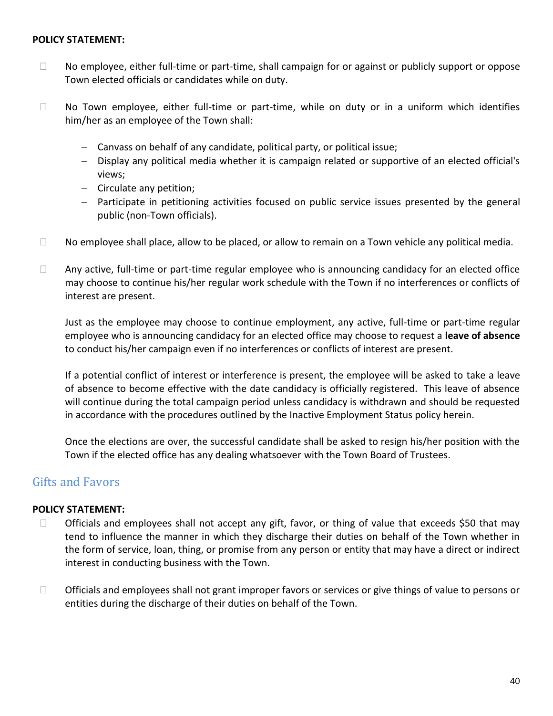#### **POLICY STATEMENT:**

- $\Box$  No employee, either full-time or part-time, shall campaign for or against or publicly support or oppose Town elected officials or candidates while on duty.
- $\Box$  No Town employee, either full-time or part-time, while on duty or in a uniform which identifies him/her as an employee of the Town shall:
	- Canvass on behalf of any candidate, political party, or political issue;
	- Display any political media whether it is campaign related or supportive of an elected official's views;
	- Circulate any petition;
	- Participate in petitioning activities focused on public service issues presented by the general public (non-Town officials).
- $\Box$  No employee shall place, allow to be placed, or allow to remain on a Town vehicle any political media.
- $\Box$  Any active, full-time or part-time regular employee who is announcing candidacy for an elected office may choose to continue his/her regular work schedule with the Town if no interferences or conflicts of interest are present.

Just as the employee may choose to continue employment, any active, full-time or part-time regular employee who is announcing candidacy for an elected office may choose to request a **leave of absence** to conduct his/her campaign even if no interferences or conflicts of interest are present.

If a potential conflict of interest or interference is present, the employee will be asked to take a leave of absence to become effective with the date candidacy is officially registered. This leave of absence will continue during the total campaign period unless candidacy is withdrawn and should be requested in accordance with the procedures outlined by the Inactive Employment Status policy herein.

<span id="page-39-0"></span>Once the elections are over, the successful candidate shall be asked to resign his/her position with the Town if the elected office has any dealing whatsoever with the Town Board of Trustees.

## Gifts and Favors

#### **POLICY STATEMENT:**

- $\Box$  Officials and employees shall not accept any gift, favor, or thing of value that exceeds \$50 that may tend to influence the manner in which they discharge their duties on behalf of the Town whether in the form of service, loan, thing, or promise from any person or entity that may have a direct or indirect interest in conducting business with the Town.
- $\Box$  Officials and employees shall not grant improper favors or services or give things of value to persons or entities during the discharge of their duties on behalf of the Town.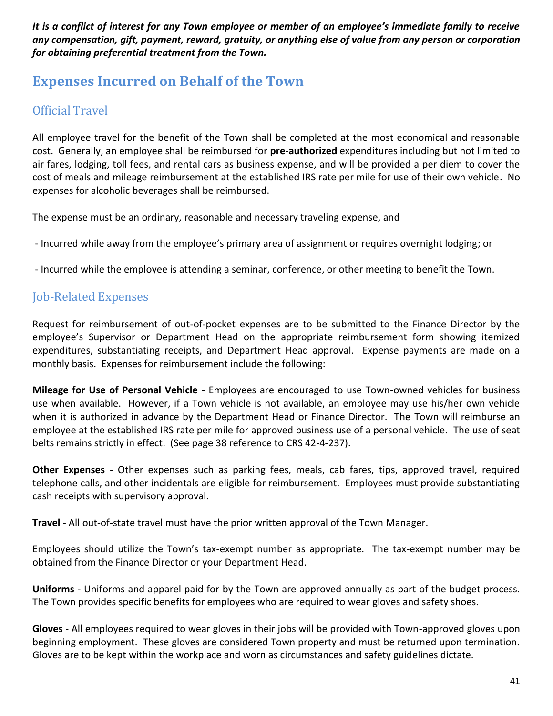*It is a conflict of interest for any Town employee or member of an employee's immediate family to receive any compensation, gift, payment, reward, gratuity, or anything else of value from any person or corporation for obtaining preferential treatment from the Town.*

## <span id="page-40-0"></span>**Expenses Incurred on Behalf of the Town**

## <span id="page-40-1"></span>Official Travel

All employee travel for the benefit of the Town shall be completed at the most economical and reasonable cost. Generally, an employee shall be reimbursed for **pre-authorized** expenditures including but not limited to air fares, lodging, toll fees, and rental cars as business expense, and will be provided a per diem to cover the cost of meals and mileage reimbursement at the established IRS rate per mile for use of their own vehicle. No expenses for alcoholic beverages shall be reimbursed.

The expense must be an ordinary, reasonable and necessary traveling expense, and

- Incurred while away from the employee's primary area of assignment or requires overnight lodging; or

- Incurred while the employee is attending a seminar, conference, or other meeting to benefit the Town.

## <span id="page-40-2"></span>Job-Related Expenses

Request for reimbursement of out-of-pocket expenses are to be submitted to the Finance Director by the employee's Supervisor or Department Head on the appropriate reimbursement form showing itemized expenditures, substantiating receipts, and Department Head approval. Expense payments are made on a monthly basis. Expenses for reimbursement include the following:

**Mileage for Use of Personal Vehicle** - Employees are encouraged to use Town-owned vehicles for business use when available. However, if a Town vehicle is not available, an employee may use his/her own vehicle when it is authorized in advance by the Department Head or Finance Director. The Town will reimburse an employee at the established IRS rate per mile for approved business use of a personal vehicle. The use of seat belts remains strictly in effect. (See page 38 reference to CRS 42-4-237).

**Other Expenses** - Other expenses such as parking fees, meals, cab fares, tips, approved travel, required telephone calls, and other incidentals are eligible for reimbursement. Employees must provide substantiating cash receipts with supervisory approval.

**Travel** - All out-of-state travel must have the prior written approval of the Town Manager.

Employees should utilize the Town's tax-exempt number as appropriate. The tax-exempt number may be obtained from the Finance Director or your Department Head.

**Uniforms** - Uniforms and apparel paid for by the Town are approved annually as part of the budget process. The Town provides specific benefits for employees who are required to wear gloves and safety shoes.

**Gloves** - All employees required to wear gloves in their jobs will be provided with Town-approved gloves upon beginning employment. These gloves are considered Town property and must be returned upon termination. Gloves are to be kept within the workplace and worn as circumstances and safety guidelines dictate.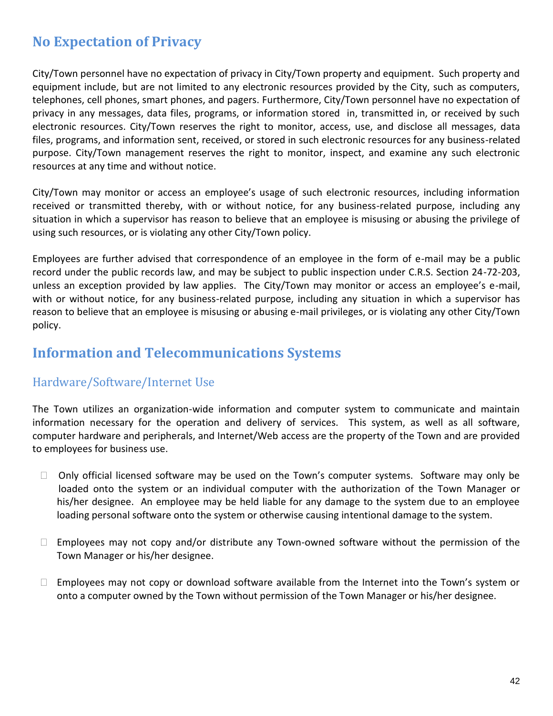## <span id="page-41-0"></span>**No Expectation of Privacy**

City/Town personnel have no expectation of privacy in City/Town property and equipment. Such property and equipment include, but are not limited to any electronic resources provided by the City, such as computers, telephones, cell phones, smart phones, and pagers. Furthermore, City/Town personnel have no expectation of privacy in any messages, data files, programs, or information stored in, transmitted in, or received by such electronic resources. City/Town reserves the right to monitor, access, use, and disclose all messages, data files, programs, and information sent, received, or stored in such electronic resources for any business-related purpose. City/Town management reserves the right to monitor, inspect, and examine any such electronic resources at any time and without notice.

City/Town may monitor or access an employee's usage of such electronic resources, including information received or transmitted thereby, with or without notice, for any business-related purpose, including any situation in which a supervisor has reason to believe that an employee is misusing or abusing the privilege of using such resources, or is violating any other City/Town policy.

Employees are further advised that correspondence of an employee in the form of e-mail may be a public record under the public records law, and may be subject to public inspection under C.R.S. Section 24-72-203, unless an exception provided by law applies. The City/Town may monitor or access an employee's e-mail, with or without notice, for any business-related purpose, including any situation in which a supervisor has reason to believe that an employee is misusing or abusing e-mail privileges, or is violating any other City/Town policy.

## **Information and Telecommunications Systems**

## <span id="page-41-1"></span>Hardware/Software/Internet Use

The Town utilizes an organization-wide information and computer system to communicate and maintain information necessary for the operation and delivery of services. This system, as well as all software, computer hardware and peripherals, and Internet/Web access are the property of the Town and are provided to employees for business use.

- $\Box$  Only official licensed software may be used on the Town's computer systems. Software may only be loaded onto the system or an individual computer with the authorization of the Town Manager or his/her designee. An employee may be held liable for any damage to the system due to an employee loading personal software onto the system or otherwise causing intentional damage to the system.
- $\Box$  Employees may not copy and/or distribute any Town-owned software without the permission of the Town Manager or his/her designee.
- $\Box$  Employees may not copy or download software available from the Internet into the Town's system or onto a computer owned by the Town without permission of the Town Manager or his/her designee.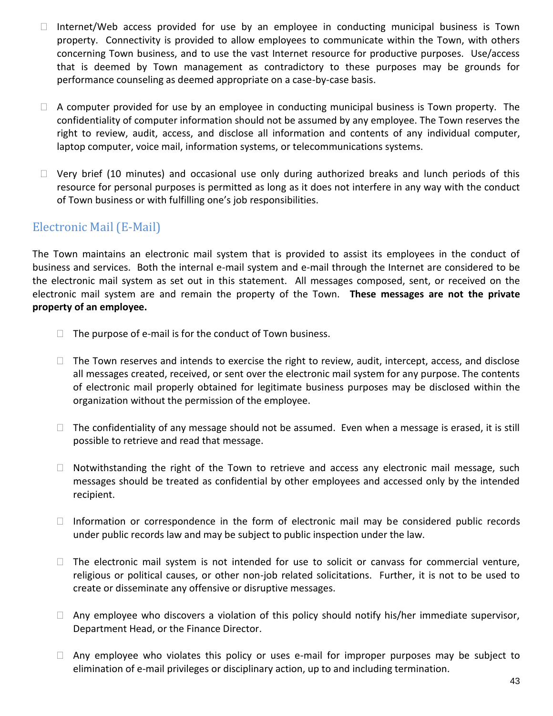- $\Box$  Internet/Web access provided for use by an employee in conducting municipal business is Town property. Connectivity is provided to allow employees to communicate within the Town, with others concerning Town business, and to use the vast Internet resource for productive purposes. Use/access that is deemed by Town management as contradictory to these purposes may be grounds for performance counseling as deemed appropriate on a case-by-case basis.
- $\Box$  A computer provided for use by an employee in conducting municipal business is Town property. The confidentiality of computer information should not be assumed by any employee. The Town reserves the right to review, audit, access, and disclose all information and contents of any individual computer, laptop computer, voice mail, information systems, or telecommunications systems.
- $\Box$  Very brief (10 minutes) and occasional use only during authorized breaks and lunch periods of this resource for personal purposes is permitted as long as it does not interfere in any way with the conduct of Town business or with fulfilling one's job responsibilities.

## <span id="page-42-0"></span>Electronic Mail (E-Mail)

The Town maintains an electronic mail system that is provided to assist its employees in the conduct of business and services. Both the internal e-mail system and e-mail through the Internet are considered to be the electronic mail system as set out in this statement. All messages composed, sent, or received on the electronic mail system are and remain the property of the Town. **These messages are not the private property of an employee.**

- $\Box$  The purpose of e-mail is for the conduct of Town business.
- $\Box$  The Town reserves and intends to exercise the right to review, audit, intercept, access, and disclose all messages created, received, or sent over the electronic mail system for any purpose. The contents of electronic mail properly obtained for legitimate business purposes may be disclosed within the organization without the permission of the employee.
- $\Box$  The confidentiality of any message should not be assumed. Even when a message is erased, it is still possible to retrieve and read that message.
- $\Box$  Notwithstanding the right of the Town to retrieve and access any electronic mail message, such messages should be treated as confidential by other employees and accessed only by the intended recipient.
- $\Box$  Information or correspondence in the form of electronic mail may be considered public records under public records law and may be subject to public inspection under the law.
- $\Box$  The electronic mail system is not intended for use to solicit or canvass for commercial venture, religious or political causes, or other non-job related solicitations. Further, it is not to be used to create or disseminate any offensive or disruptive messages.
- $\Box$  Any employee who discovers a violation of this policy should notify his/her immediate supervisor, Department Head, or the Finance Director.
- $\Box$  Any employee who violates this policy or uses e-mail for improper purposes may be subject to elimination of e-mail privileges or disciplinary action, up to and including termination.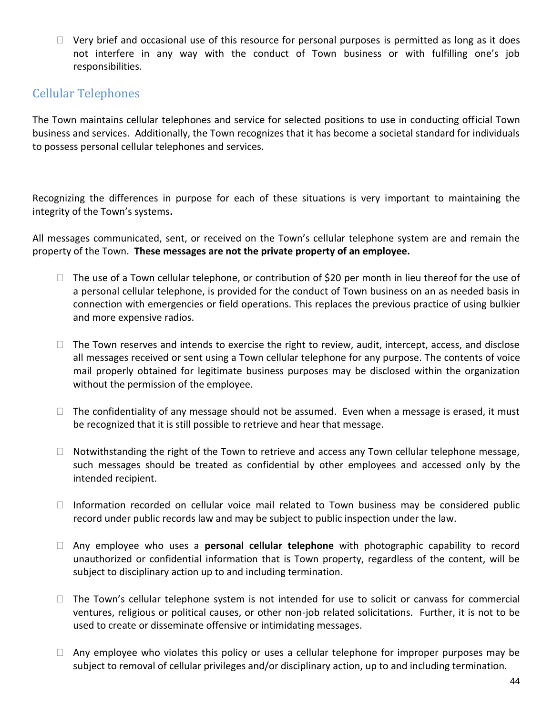$\Box$  Very brief and occasional use of this resource for personal purposes is permitted as long as it does not interfere in any way with the conduct of Town business or with fulfilling one's job responsibilities.

## Cellular Telephones

The Town maintains cellular telephones and service for selected positions to use in conducting official Town business and services. Additionally, the Town recognizes that it has become a societal standard for individuals to possess personal cellular telephones and services.

Recognizing the differences in purpose for each of these situations is very important to maintaining the integrity of the Town's systems**.** 

All messages communicated, sent, or received on the Town's cellular telephone system are and remain the property of the Town. **These messages are not the private property of an employee.** 

- $\Box$  The use of a Town cellular telephone, or contribution of \$20 per month in lieu thereof for the use of a personal cellular telephone, is provided for the conduct of Town business on an as needed basis in connection with emergencies or field operations. This replaces the previous practice of using bulkier and more expensive radios.
- $\Box$  The Town reserves and intends to exercise the right to review, audit, intercept, access, and disclose all messages received or sent using a Town cellular telephone for any purpose. The contents of voice mail properly obtained for legitimate business purposes may be disclosed within the organization without the permission of the employee.
- $\Box$  The confidentiality of any message should not be assumed. Even when a message is erased, it must be recognized that it is still possible to retrieve and hear that message.
- $\Box$  Notwithstanding the right of the Town to retrieve and access any Town cellular telephone message, such messages should be treated as confidential by other employees and accessed only by the intended recipient.
- $\Box$  Information recorded on cellular voice mail related to Town business may be considered public record under public records law and may be subject to public inspection under the law.
- Any employee who uses a **personal cellular telephone** with photographic capability to record unauthorized or confidential information that is Town property, regardless of the content, will be subject to disciplinary action up to and including termination.
- $\Box$  The Town's cellular telephone system is not intended for use to solicit or canvass for commercial ventures, religious or political causes, or other non-job related solicitations. Further, it is not to be used to create or disseminate offensive or intimidating messages.
- $\Box$  Any employee who violates this policy or uses a cellular telephone for improper purposes may be subject to removal of cellular privileges and/or disciplinary action, up to and including termination.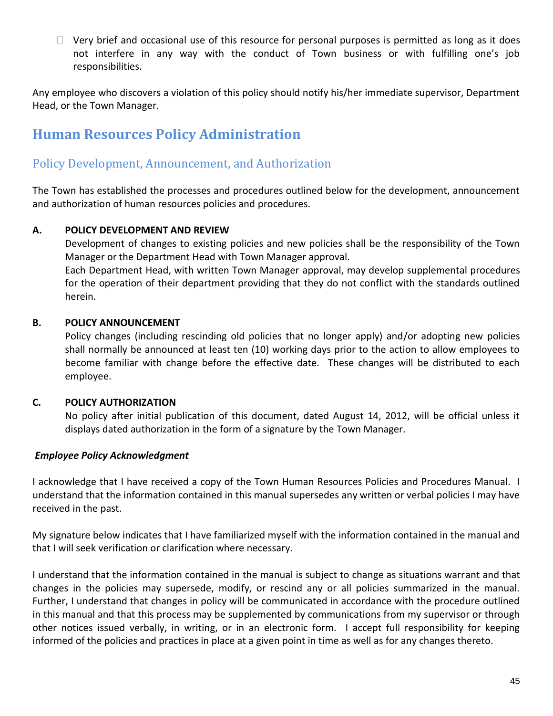$\Box$  Very brief and occasional use of this resource for personal purposes is permitted as long as it does not interfere in any way with the conduct of Town business or with fulfilling one's job responsibilities.

Any employee who discovers a violation of this policy should notify his/her immediate supervisor, Department Head, or the Town Manager.

## <span id="page-44-0"></span>**Human Resources Policy Administration**

## <span id="page-44-1"></span>Policy Development, Announcement, and Authorization

The Town has established the processes and procedures outlined below for the development, announcement and authorization of human resources policies and procedures.

#### **A. POLICY DEVELOPMENT AND REVIEW**

Development of changes to existing policies and new policies shall be the responsibility of the Town Manager or the Department Head with Town Manager approval. Each Department Head, with written Town Manager approval, may develop supplemental procedures for the operation of their department providing that they do not conflict with the standards outlined

#### **B. POLICY ANNOUNCEMENT**

herein.

Policy changes (including rescinding old policies that no longer apply) and/or adopting new policies shall normally be announced at least ten (10) working days prior to the action to allow employees to become familiar with change before the effective date. These changes will be distributed to each employee.

#### **C. POLICY AUTHORIZATION**

No policy after initial publication of this document, dated August 14, 2012, will be official unless it displays dated authorization in the form of a signature by the Town Manager.

#### *Employee Policy Acknowledgment*

I acknowledge that I have received a copy of the Town Human Resources Policies and Procedures Manual. I understand that the information contained in this manual supersedes any written or verbal policies I may have received in the past.

My signature below indicates that I have familiarized myself with the information contained in the manual and that I will seek verification or clarification where necessary.

I understand that the information contained in the manual is subject to change as situations warrant and that changes in the policies may supersede, modify, or rescind any or all policies summarized in the manual. Further, I understand that changes in policy will be communicated in accordance with the procedure outlined in this manual and that this process may be supplemented by communications from my supervisor or through other notices issued verbally, in writing, or in an electronic form. I accept full responsibility for keeping informed of the policies and practices in place at a given point in time as well as for any changes thereto.